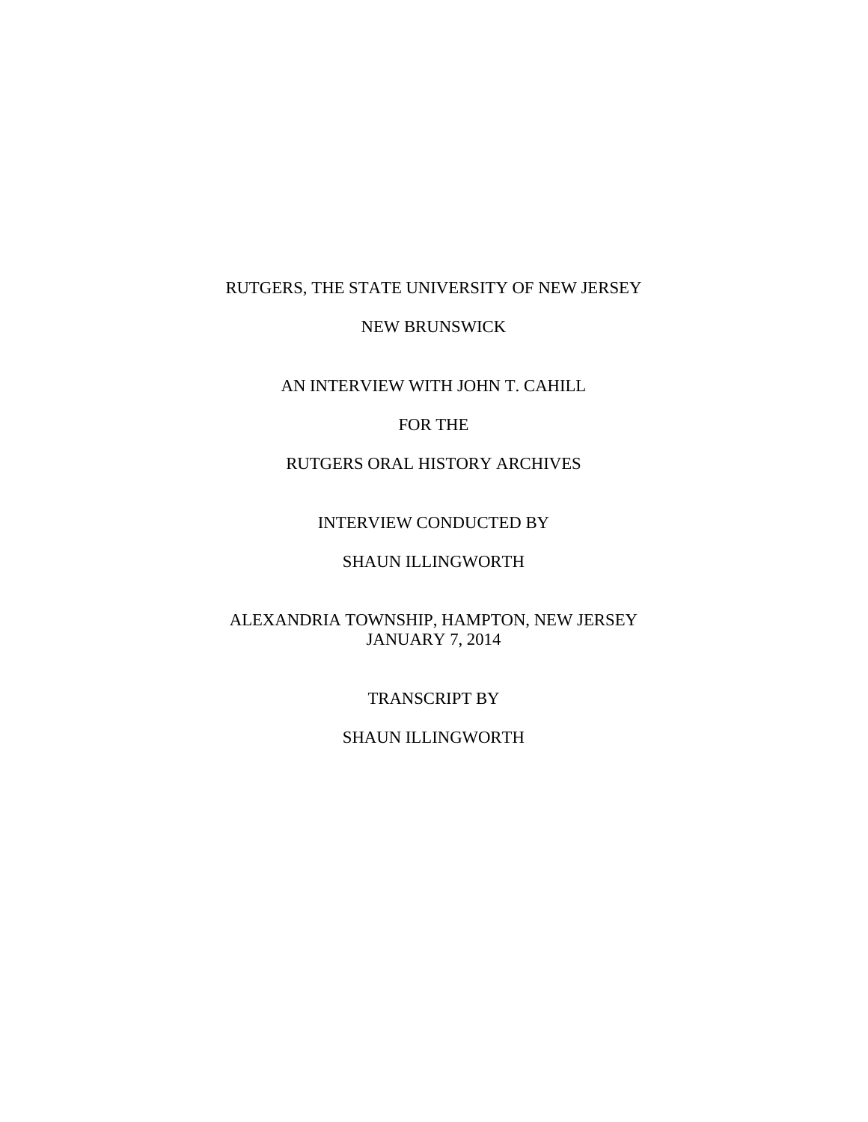# RUTGERS, THE STATE UNIVERSITY OF NEW JERSEY

## NEW BRUNSWICK

AN INTERVIEW WITH JOHN T. CAHILL

# FOR THE

# RUTGERS ORAL HISTORY ARCHIVES

# INTERVIEW CONDUCTED BY

# SHAUN ILLINGWORTH

# ALEXANDRIA TOWNSHIP, HAMPTON, NEW JERSEY JANUARY 7, 2014

## TRANSCRIPT BY

## SHAUN ILLINGWORTH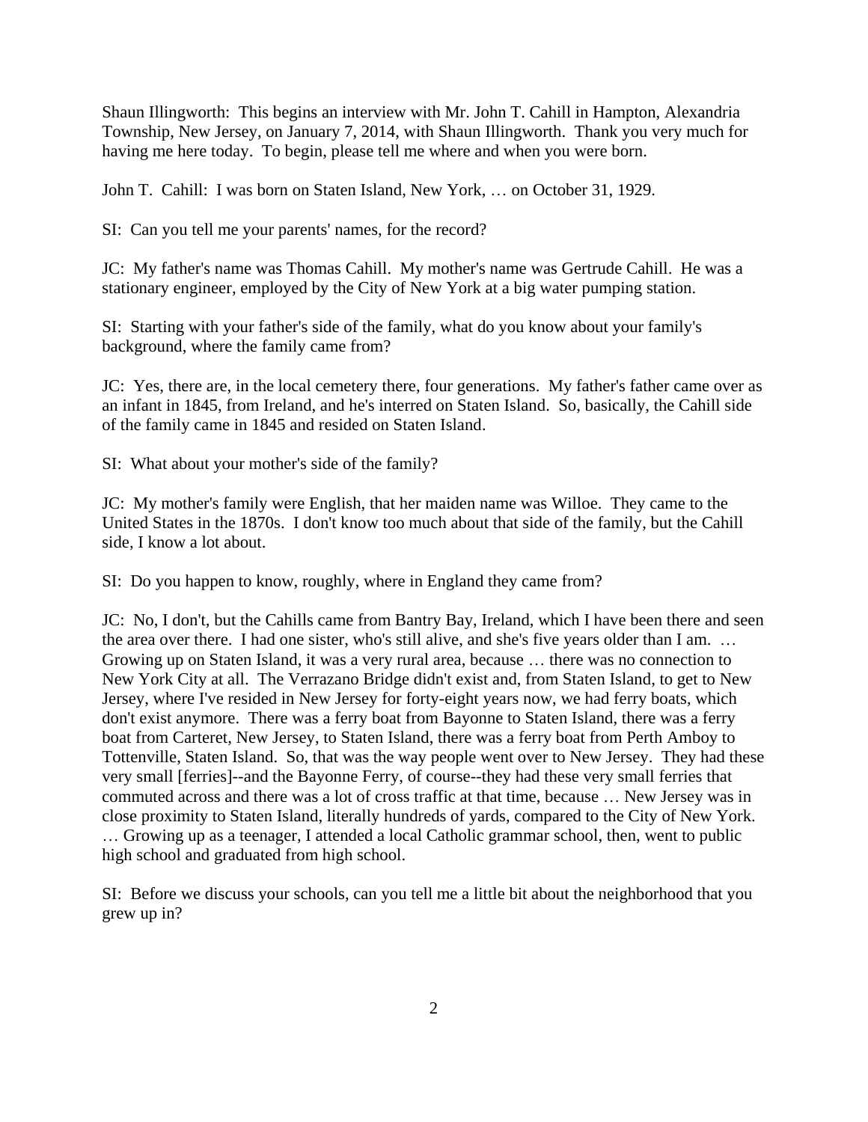Shaun Illingworth: This begins an interview with Mr. John T. Cahill in Hampton, Alexandria Township, New Jersey, on January 7, 2014, with Shaun Illingworth. Thank you very much for having me here today. To begin, please tell me where and when you were born.

John T. Cahill: I was born on Staten Island, New York, … on October 31, 1929.

SI: Can you tell me your parents' names, for the record?

JC: My father's name was Thomas Cahill. My mother's name was Gertrude Cahill. He was a stationary engineer, employed by the City of New York at a big water pumping station.

SI: Starting with your father's side of the family, what do you know about your family's background, where the family came from?

JC: Yes, there are, in the local cemetery there, four generations. My father's father came over as an infant in 1845, from Ireland, and he's interred on Staten Island. So, basically, the Cahill side of the family came in 1845 and resided on Staten Island.

SI: What about your mother's side of the family?

JC: My mother's family were English, that her maiden name was Willoe. They came to the United States in the 1870s. I don't know too much about that side of the family, but the Cahill side, I know a lot about.

SI: Do you happen to know, roughly, where in England they came from?

JC: No, I don't, but the Cahills came from Bantry Bay, Ireland, which I have been there and seen the area over there. I had one sister, who's still alive, and she's five years older than I am. … Growing up on Staten Island, it was a very rural area, because … there was no connection to New York City at all. The Verrazano Bridge didn't exist and, from Staten Island, to get to New Jersey, where I've resided in New Jersey for forty-eight years now, we had ferry boats, which don't exist anymore. There was a ferry boat from Bayonne to Staten Island, there was a ferry boat from Carteret, New Jersey, to Staten Island, there was a ferry boat from Perth Amboy to Tottenville, Staten Island. So, that was the way people went over to New Jersey. They had these very small [ferries]--and the Bayonne Ferry, of course--they had these very small ferries that commuted across and there was a lot of cross traffic at that time, because … New Jersey was in close proximity to Staten Island, literally hundreds of yards, compared to the City of New York. … Growing up as a teenager, I attended a local Catholic grammar school, then, went to public high school and graduated from high school.

SI: Before we discuss your schools, can you tell me a little bit about the neighborhood that you grew up in?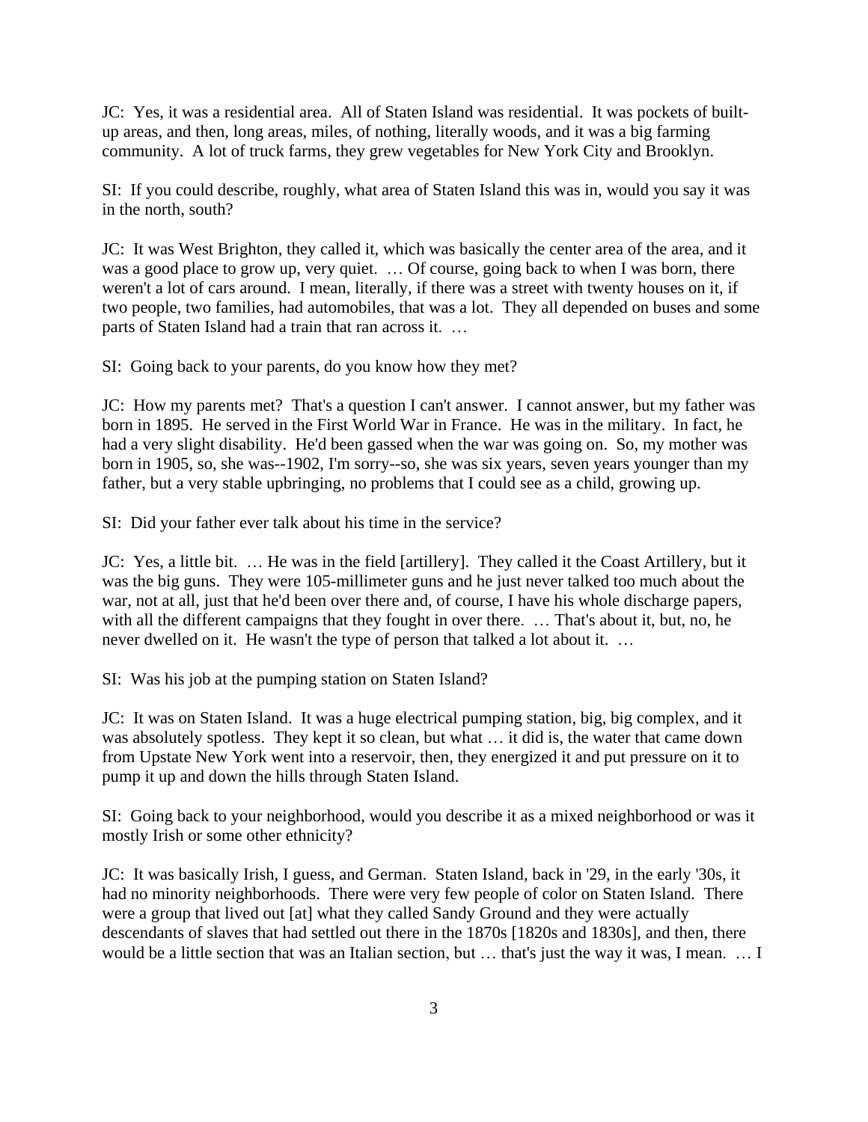JC: Yes, it was a residential area. All of Staten Island was residential. It was pockets of builtup areas, and then, long areas, miles, of nothing, literally woods, and it was a big farming community. A lot of truck farms, they grew vegetables for New York City and Brooklyn.

SI: If you could describe, roughly, what area of Staten Island this was in, would you say it was in the north, south?

JC: It was West Brighton, they called it, which was basically the center area of the area, and it was a good place to grow up, very quiet. ... Of course, going back to when I was born, there weren't a lot of cars around. I mean, literally, if there was a street with twenty houses on it, if two people, two families, had automobiles, that was a lot. They all depended on buses and some parts of Staten Island had a train that ran across it. …

SI: Going back to your parents, do you know how they met?

JC: How my parents met? That's a question I can't answer. I cannot answer, but my father was born in 1895. He served in the First World War in France. He was in the military. In fact, he had a very slight disability. He'd been gassed when the war was going on. So, my mother was born in 1905, so, she was--1902, I'm sorry--so, she was six years, seven years younger than my father, but a very stable upbringing, no problems that I could see as a child, growing up.

SI: Did your father ever talk about his time in the service?

JC: Yes, a little bit. … He was in the field [artillery]. They called it the Coast Artillery, but it was the big guns. They were 105-millimeter guns and he just never talked too much about the war, not at all, just that he'd been over there and, of course, I have his whole discharge papers, with all the different campaigns that they fought in over there. ... That's about it, but, no, he never dwelled on it. He wasn't the type of person that talked a lot about it. …

SI: Was his job at the pumping station on Staten Island?

JC: It was on Staten Island. It was a huge electrical pumping station, big, big complex, and it was absolutely spotless. They kept it so clean, but what … it did is, the water that came down from Upstate New York went into a reservoir, then, they energized it and put pressure on it to pump it up and down the hills through Staten Island.

SI: Going back to your neighborhood, would you describe it as a mixed neighborhood or was it mostly Irish or some other ethnicity?

JC: It was basically Irish, I guess, and German. Staten Island, back in '29, in the early '30s, it had no minority neighborhoods. There were very few people of color on Staten Island. There were a group that lived out [at] what they called Sandy Ground and they were actually descendants of slaves that had settled out there in the 1870s [1820s and 1830s], and then, there would be a little section that was an Italian section, but … that's just the way it was, I mean. … I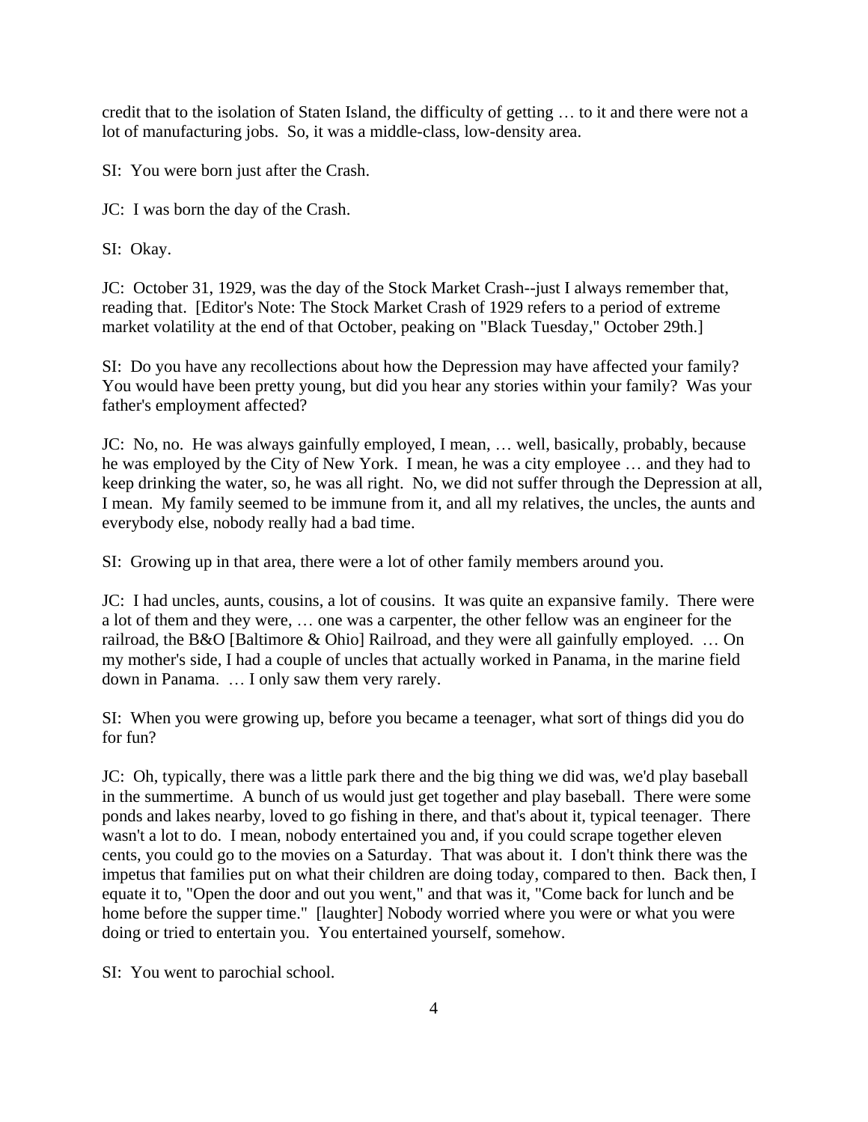credit that to the isolation of Staten Island, the difficulty of getting … to it and there were not a lot of manufacturing jobs. So, it was a middle-class, low-density area.

SI: You were born just after the Crash.

JC: I was born the day of the Crash.

SI: Okay.

JC: October 31, 1929, was the day of the Stock Market Crash--just I always remember that, reading that. [Editor's Note: The Stock Market Crash of 1929 refers to a period of extreme market volatility at the end of that October, peaking on "Black Tuesday," October 29th.]

SI: Do you have any recollections about how the Depression may have affected your family? You would have been pretty young, but did you hear any stories within your family? Was your father's employment affected?

JC: No, no. He was always gainfully employed, I mean, … well, basically, probably, because he was employed by the City of New York. I mean, he was a city employee … and they had to keep drinking the water, so, he was all right. No, we did not suffer through the Depression at all, I mean. My family seemed to be immune from it, and all my relatives, the uncles, the aunts and everybody else, nobody really had a bad time.

SI: Growing up in that area, there were a lot of other family members around you.

JC: I had uncles, aunts, cousins, a lot of cousins. It was quite an expansive family. There were a lot of them and they were, … one was a carpenter, the other fellow was an engineer for the railroad, the B&O [Baltimore & Ohio] Railroad, and they were all gainfully employed. … On my mother's side, I had a couple of uncles that actually worked in Panama, in the marine field down in Panama. … I only saw them very rarely.

SI: When you were growing up, before you became a teenager, what sort of things did you do for fun?

JC: Oh, typically, there was a little park there and the big thing we did was, we'd play baseball in the summertime. A bunch of us would just get together and play baseball. There were some ponds and lakes nearby, loved to go fishing in there, and that's about it, typical teenager. There wasn't a lot to do. I mean, nobody entertained you and, if you could scrape together eleven cents, you could go to the movies on a Saturday. That was about it. I don't think there was the impetus that families put on what their children are doing today, compared to then. Back then, I equate it to, "Open the door and out you went," and that was it, "Come back for lunch and be home before the supper time." [laughter] Nobody worried where you were or what you were doing or tried to entertain you. You entertained yourself, somehow.

SI: You went to parochial school.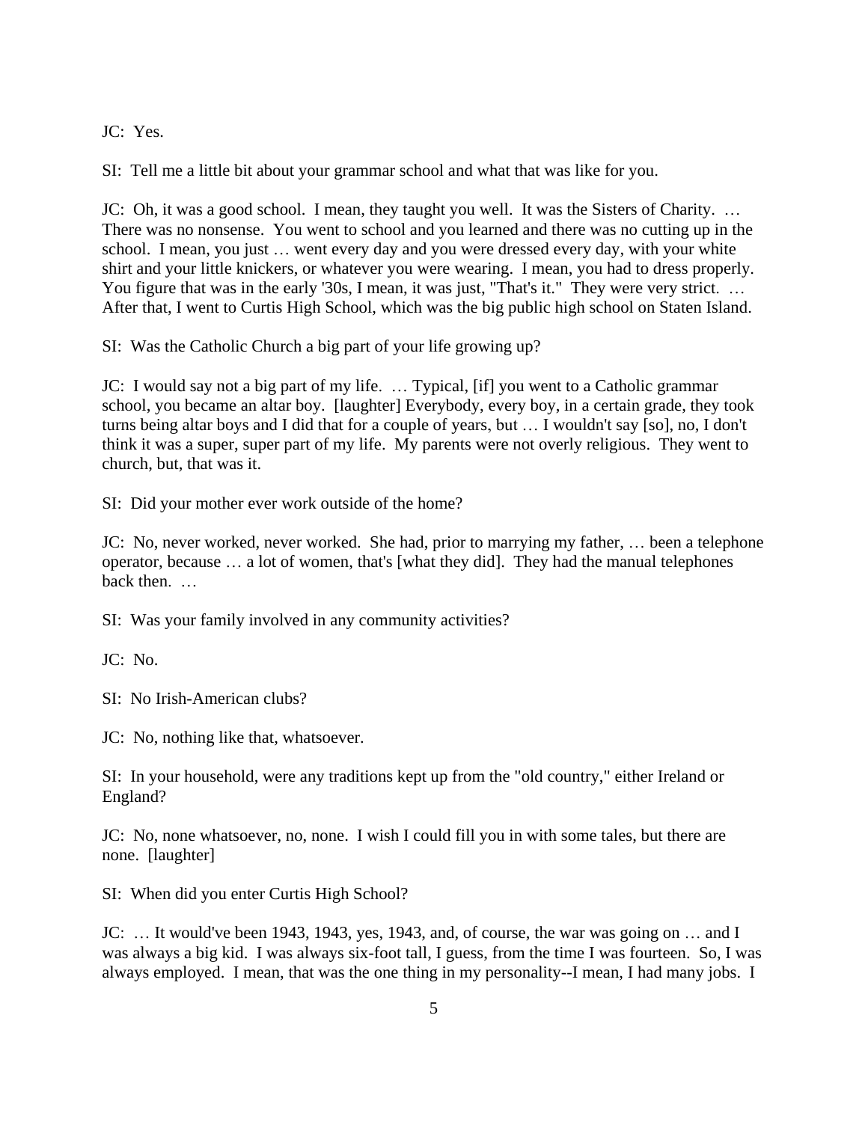JC: Yes.

SI: Tell me a little bit about your grammar school and what that was like for you.

JC: Oh, it was a good school. I mean, they taught you well. It was the Sisters of Charity. … There was no nonsense. You went to school and you learned and there was no cutting up in the school. I mean, you just … went every day and you were dressed every day, with your white shirt and your little knickers, or whatever you were wearing. I mean, you had to dress properly. You figure that was in the early '30s, I mean, it was just, "That's it." They were very strict. ... After that, I went to Curtis High School, which was the big public high school on Staten Island.

SI: Was the Catholic Church a big part of your life growing up?

JC: I would say not a big part of my life. … Typical, [if] you went to a Catholic grammar school, you became an altar boy. [laughter] Everybody, every boy, in a certain grade, they took turns being altar boys and I did that for a couple of years, but … I wouldn't say [so], no, I don't think it was a super, super part of my life. My parents were not overly religious. They went to church, but, that was it.

SI: Did your mother ever work outside of the home?

JC: No, never worked, never worked. She had, prior to marrying my father, … been a telephone operator, because … a lot of women, that's [what they did]. They had the manual telephones back then.

SI: Was your family involved in any community activities?

JC: No.

SI: No Irish-American clubs?

JC: No, nothing like that, whatsoever.

SI: In your household, were any traditions kept up from the "old country," either Ireland or England?

JC: No, none whatsoever, no, none. I wish I could fill you in with some tales, but there are none. [laughter]

SI: When did you enter Curtis High School?

JC: … It would've been 1943, 1943, yes, 1943, and, of course, the war was going on … and I was always a big kid. I was always six-foot tall, I guess, from the time I was fourteen. So, I was always employed. I mean, that was the one thing in my personality--I mean, I had many jobs. I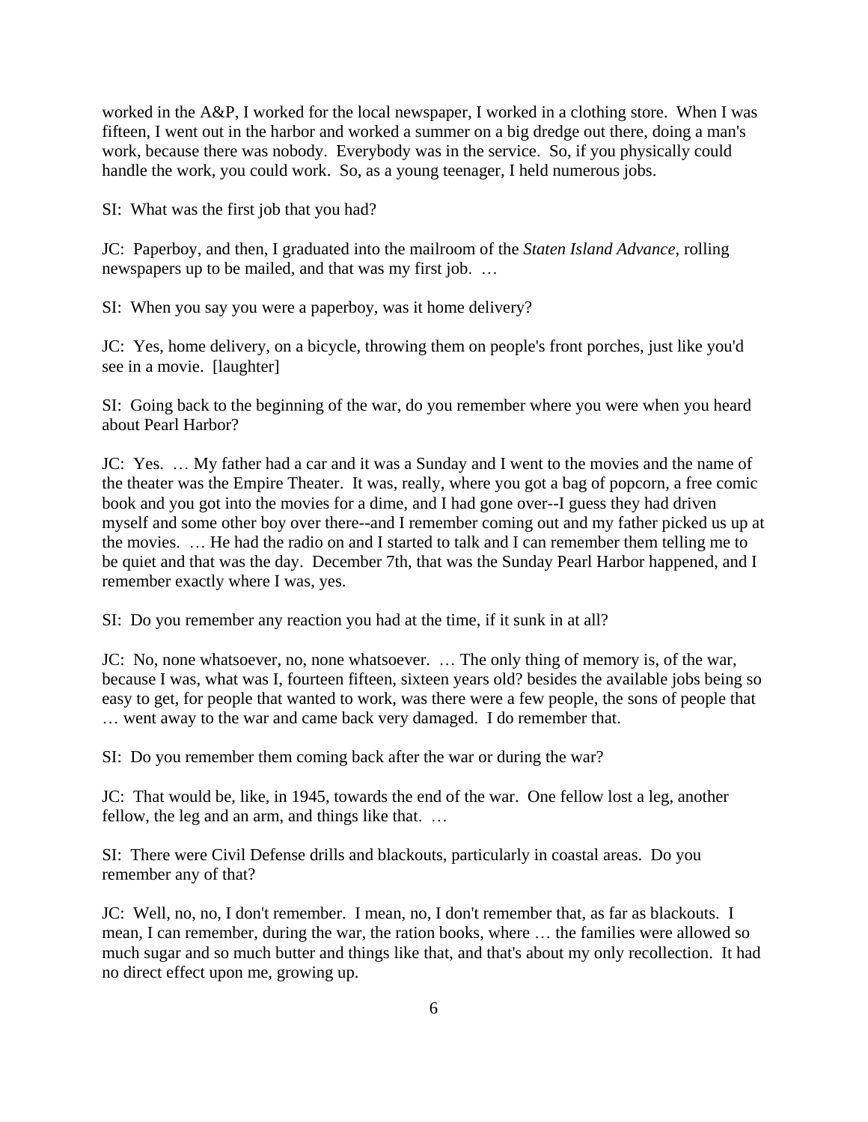worked in the A&P, I worked for the local newspaper, I worked in a clothing store. When I was fifteen, I went out in the harbor and worked a summer on a big dredge out there, doing a man's work, because there was nobody. Everybody was in the service. So, if you physically could handle the work, you could work. So, as a young teenager, I held numerous jobs.

SI: What was the first job that you had?

JC: Paperboy, and then, I graduated into the mailroom of the *Staten Island Advance*, rolling newspapers up to be mailed, and that was my first job. …

SI: When you say you were a paperboy, was it home delivery?

JC: Yes, home delivery, on a bicycle, throwing them on people's front porches, just like you'd see in a movie. [laughter]

SI: Going back to the beginning of the war, do you remember where you were when you heard about Pearl Harbor?

JC: Yes. … My father had a car and it was a Sunday and I went to the movies and the name of the theater was the Empire Theater. It was, really, where you got a bag of popcorn, a free comic book and you got into the movies for a dime, and I had gone over--I guess they had driven myself and some other boy over there--and I remember coming out and my father picked us up at the movies. … He had the radio on and I started to talk and I can remember them telling me to be quiet and that was the day. December 7th, that was the Sunday Pearl Harbor happened, and I remember exactly where I was, yes.

SI: Do you remember any reaction you had at the time, if it sunk in at all?

JC: No, none whatsoever, no, none whatsoever. … The only thing of memory is, of the war, because I was, what was I, fourteen fifteen, sixteen years old? besides the available jobs being so easy to get, for people that wanted to work, was there were a few people, the sons of people that … went away to the war and came back very damaged. I do remember that.

SI: Do you remember them coming back after the war or during the war?

JC: That would be, like, in 1945, towards the end of the war. One fellow lost a leg, another fellow, the leg and an arm, and things like that. …

SI: There were Civil Defense drills and blackouts, particularly in coastal areas. Do you remember any of that?

JC: Well, no, no, I don't remember. I mean, no, I don't remember that, as far as blackouts. I mean, I can remember, during the war, the ration books, where … the families were allowed so much sugar and so much butter and things like that, and that's about my only recollection. It had no direct effect upon me, growing up.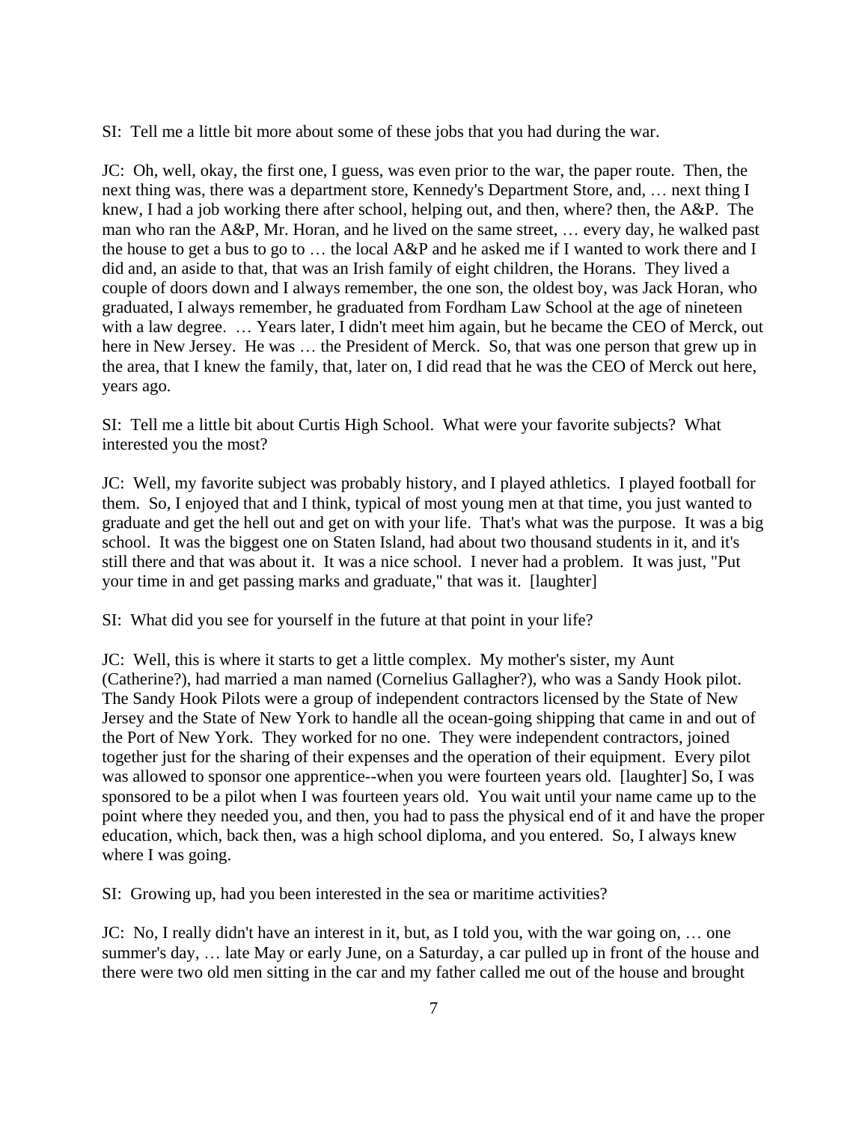SI: Tell me a little bit more about some of these jobs that you had during the war.

JC: Oh, well, okay, the first one, I guess, was even prior to the war, the paper route. Then, the next thing was, there was a department store, Kennedy's Department Store, and, … next thing I knew, I had a job working there after school, helping out, and then, where? then, the A&P. The man who ran the A&P, Mr. Horan, and he lived on the same street, … every day, he walked past the house to get a bus to go to … the local A&P and he asked me if I wanted to work there and I did and, an aside to that, that was an Irish family of eight children, the Horans. They lived a couple of doors down and I always remember, the one son, the oldest boy, was Jack Horan, who graduated, I always remember, he graduated from Fordham Law School at the age of nineteen with a law degree. … Years later, I didn't meet him again, but he became the CEO of Merck, out here in New Jersey. He was … the President of Merck. So, that was one person that grew up in the area, that I knew the family, that, later on, I did read that he was the CEO of Merck out here, years ago.

SI: Tell me a little bit about Curtis High School. What were your favorite subjects? What interested you the most?

JC: Well, my favorite subject was probably history, and I played athletics. I played football for them. So, I enjoyed that and I think, typical of most young men at that time, you just wanted to graduate and get the hell out and get on with your life. That's what was the purpose. It was a big school. It was the biggest one on Staten Island, had about two thousand students in it, and it's still there and that was about it. It was a nice school. I never had a problem. It was just, "Put your time in and get passing marks and graduate," that was it. [laughter]

SI: What did you see for yourself in the future at that point in your life?

JC: Well, this is where it starts to get a little complex. My mother's sister, my Aunt (Catherine?), had married a man named (Cornelius Gallagher?), who was a Sandy Hook pilot. The Sandy Hook Pilots were a group of independent contractors licensed by the State of New Jersey and the State of New York to handle all the ocean-going shipping that came in and out of the Port of New York. They worked for no one. They were independent contractors, joined together just for the sharing of their expenses and the operation of their equipment. Every pilot was allowed to sponsor one apprentice--when you were fourteen years old. [laughter] So, I was sponsored to be a pilot when I was fourteen years old. You wait until your name came up to the point where they needed you, and then, you had to pass the physical end of it and have the proper education, which, back then, was a high school diploma, and you entered. So, I always knew where I was going.

SI: Growing up, had you been interested in the sea or maritime activities?

JC: No, I really didn't have an interest in it, but, as I told you, with the war going on, … one summer's day, … late May or early June, on a Saturday, a car pulled up in front of the house and there were two old men sitting in the car and my father called me out of the house and brought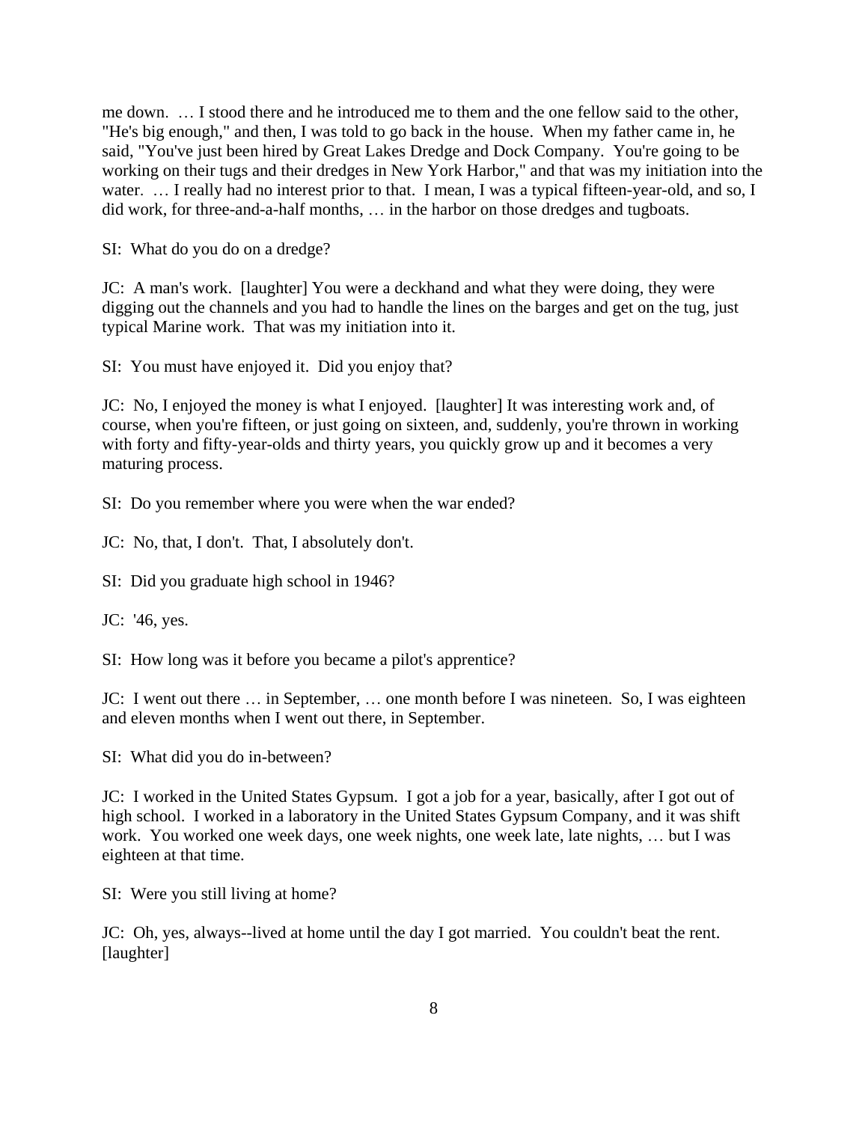me down. … I stood there and he introduced me to them and the one fellow said to the other, "He's big enough," and then, I was told to go back in the house. When my father came in, he said, "You've just been hired by Great Lakes Dredge and Dock Company. You're going to be working on their tugs and their dredges in New York Harbor," and that was my initiation into the water. ... I really had no interest prior to that. I mean, I was a typical fifteen-year-old, and so, I did work, for three-and-a-half months, … in the harbor on those dredges and tugboats.

SI: What do you do on a dredge?

JC: A man's work. [laughter] You were a deckhand and what they were doing, they were digging out the channels and you had to handle the lines on the barges and get on the tug, just typical Marine work. That was my initiation into it.

SI: You must have enjoyed it. Did you enjoy that?

JC: No, I enjoyed the money is what I enjoyed. [laughter] It was interesting work and, of course, when you're fifteen, or just going on sixteen, and, suddenly, you're thrown in working with forty and fifty-year-olds and thirty years, you quickly grow up and it becomes a very maturing process.

SI: Do you remember where you were when the war ended?

JC: No, that, I don't. That, I absolutely don't.

SI: Did you graduate high school in 1946?

JC: '46, yes.

SI: How long was it before you became a pilot's apprentice?

JC: I went out there … in September, … one month before I was nineteen. So, I was eighteen and eleven months when I went out there, in September.

SI: What did you do in-between?

JC: I worked in the United States Gypsum. I got a job for a year, basically, after I got out of high school. I worked in a laboratory in the United States Gypsum Company, and it was shift work. You worked one week days, one week nights, one week late, late nights, … but I was eighteen at that time.

SI: Were you still living at home?

JC: Oh, yes, always--lived at home until the day I got married. You couldn't beat the rent. [laughter]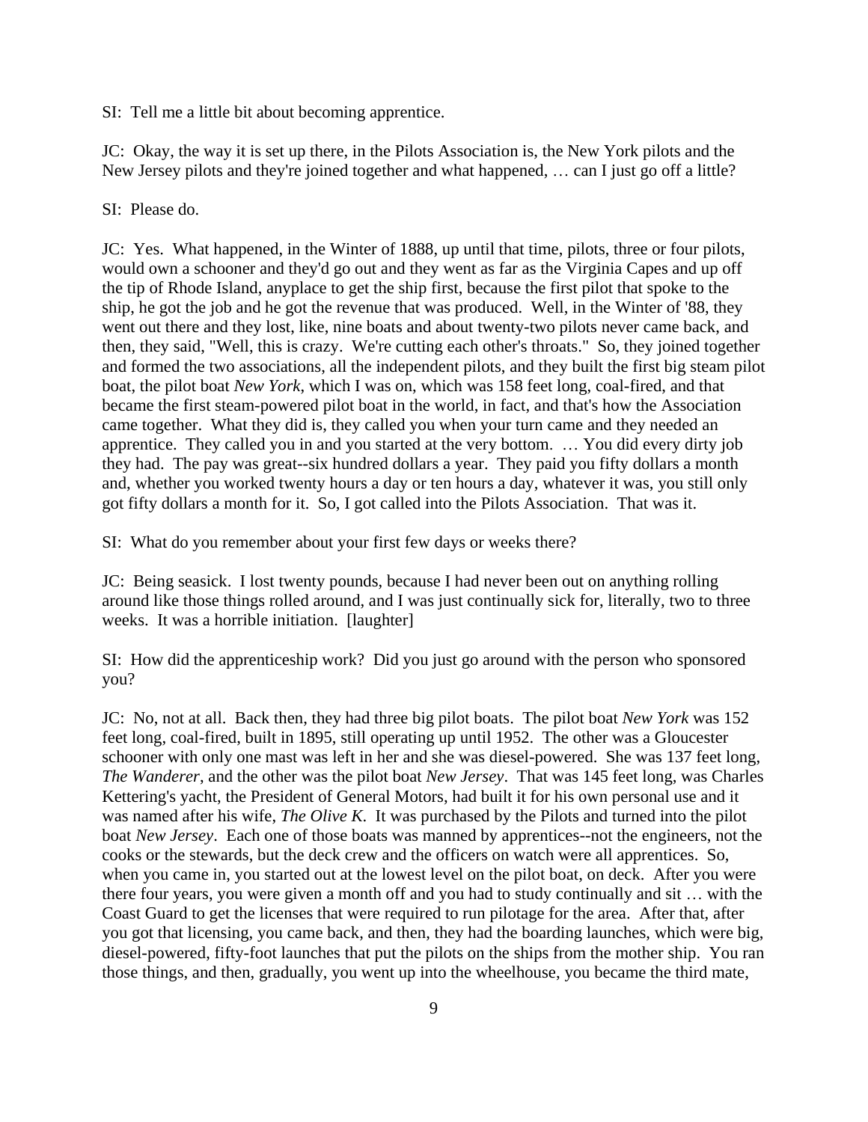SI: Tell me a little bit about becoming apprentice.

JC: Okay, the way it is set up there, in the Pilots Association is, the New York pilots and the New Jersey pilots and they're joined together and what happened, … can I just go off a little?

SI: Please do.

JC: Yes. What happened, in the Winter of 1888, up until that time, pilots, three or four pilots, would own a schooner and they'd go out and they went as far as the Virginia Capes and up off the tip of Rhode Island, anyplace to get the ship first, because the first pilot that spoke to the ship, he got the job and he got the revenue that was produced. Well, in the Winter of '88, they went out there and they lost, like, nine boats and about twenty-two pilots never came back, and then, they said, "Well, this is crazy. We're cutting each other's throats." So, they joined together and formed the two associations, all the independent pilots, and they built the first big steam pilot boat, the pilot boat *New York*, which I was on, which was 158 feet long, coal-fired, and that became the first steam-powered pilot boat in the world, in fact, and that's how the Association came together. What they did is, they called you when your turn came and they needed an apprentice. They called you in and you started at the very bottom. … You did every dirty job they had. The pay was great--six hundred dollars a year. They paid you fifty dollars a month and, whether you worked twenty hours a day or ten hours a day, whatever it was, you still only got fifty dollars a month for it. So, I got called into the Pilots Association. That was it.

SI: What do you remember about your first few days or weeks there?

JC: Being seasick. I lost twenty pounds, because I had never been out on anything rolling around like those things rolled around, and I was just continually sick for, literally, two to three weeks. It was a horrible initiation. [laughter]

SI: How did the apprenticeship work? Did you just go around with the person who sponsored you?

JC: No, not at all. Back then, they had three big pilot boats. The pilot boat *New York* was 152 feet long, coal-fired, built in 1895, still operating up until 1952. The other was a Gloucester schooner with only one mast was left in her and she was diesel-powered. She was 137 feet long, *The Wanderer*, and the other was the pilot boat *New Jersey*. That was 145 feet long, was Charles Kettering's yacht, the President of General Motors, had built it for his own personal use and it was named after his wife, *The Olive K*. It was purchased by the Pilots and turned into the pilot boat *New Jersey*. Each one of those boats was manned by apprentices--not the engineers, not the cooks or the stewards, but the deck crew and the officers on watch were all apprentices. So, when you came in, you started out at the lowest level on the pilot boat, on deck. After you were there four years, you were given a month off and you had to study continually and sit … with the Coast Guard to get the licenses that were required to run pilotage for the area. After that, after you got that licensing, you came back, and then, they had the boarding launches, which were big, diesel-powered, fifty-foot launches that put the pilots on the ships from the mother ship. You ran those things, and then, gradually, you went up into the wheelhouse, you became the third mate,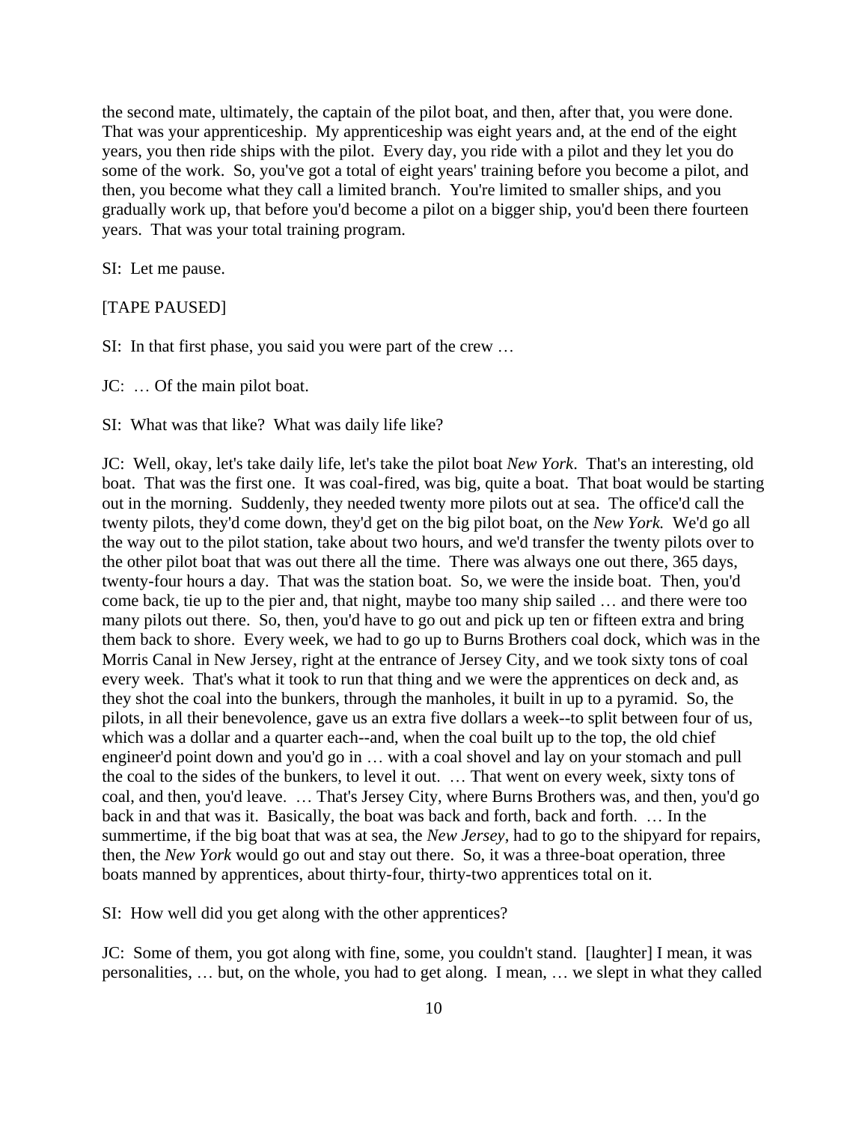the second mate, ultimately, the captain of the pilot boat, and then, after that, you were done. That was your apprenticeship. My apprenticeship was eight years and, at the end of the eight years, you then ride ships with the pilot. Every day, you ride with a pilot and they let you do some of the work. So, you've got a total of eight years' training before you become a pilot, and then, you become what they call a limited branch. You're limited to smaller ships, and you gradually work up, that before you'd become a pilot on a bigger ship, you'd been there fourteen years. That was your total training program.

SI: Let me pause.

[TAPE PAUSED]

SI: In that first phase, you said you were part of the crew …

JC: … Of the main pilot boat.

SI: What was that like? What was daily life like?

JC: Well, okay, let's take daily life, let's take the pilot boat *New York*. That's an interesting, old boat. That was the first one. It was coal-fired, was big, quite a boat. That boat would be starting out in the morning. Suddenly, they needed twenty more pilots out at sea. The office'd call the twenty pilots, they'd come down, they'd get on the big pilot boat, on the *New York.* We'd go all the way out to the pilot station, take about two hours, and we'd transfer the twenty pilots over to the other pilot boat that was out there all the time. There was always one out there, 365 days, twenty-four hours a day. That was the station boat. So, we were the inside boat. Then, you'd come back, tie up to the pier and, that night, maybe too many ship sailed … and there were too many pilots out there. So, then, you'd have to go out and pick up ten or fifteen extra and bring them back to shore. Every week, we had to go up to Burns Brothers coal dock, which was in the Morris Canal in New Jersey, right at the entrance of Jersey City, and we took sixty tons of coal every week. That's what it took to run that thing and we were the apprentices on deck and, as they shot the coal into the bunkers, through the manholes, it built in up to a pyramid. So, the pilots, in all their benevolence, gave us an extra five dollars a week--to split between four of us, which was a dollar and a quarter each--and, when the coal built up to the top, the old chief engineer'd point down and you'd go in … with a coal shovel and lay on your stomach and pull the coal to the sides of the bunkers, to level it out. … That went on every week, sixty tons of coal, and then, you'd leave. … That's Jersey City, where Burns Brothers was, and then, you'd go back in and that was it. Basically, the boat was back and forth, back and forth. … In the summertime, if the big boat that was at sea, the *New Jersey*, had to go to the shipyard for repairs, then, the *New York* would go out and stay out there. So, it was a three-boat operation, three boats manned by apprentices, about thirty-four, thirty-two apprentices total on it.

SI: How well did you get along with the other apprentices?

JC: Some of them, you got along with fine, some, you couldn't stand. [laughter] I mean, it was personalities, … but, on the whole, you had to get along. I mean, … we slept in what they called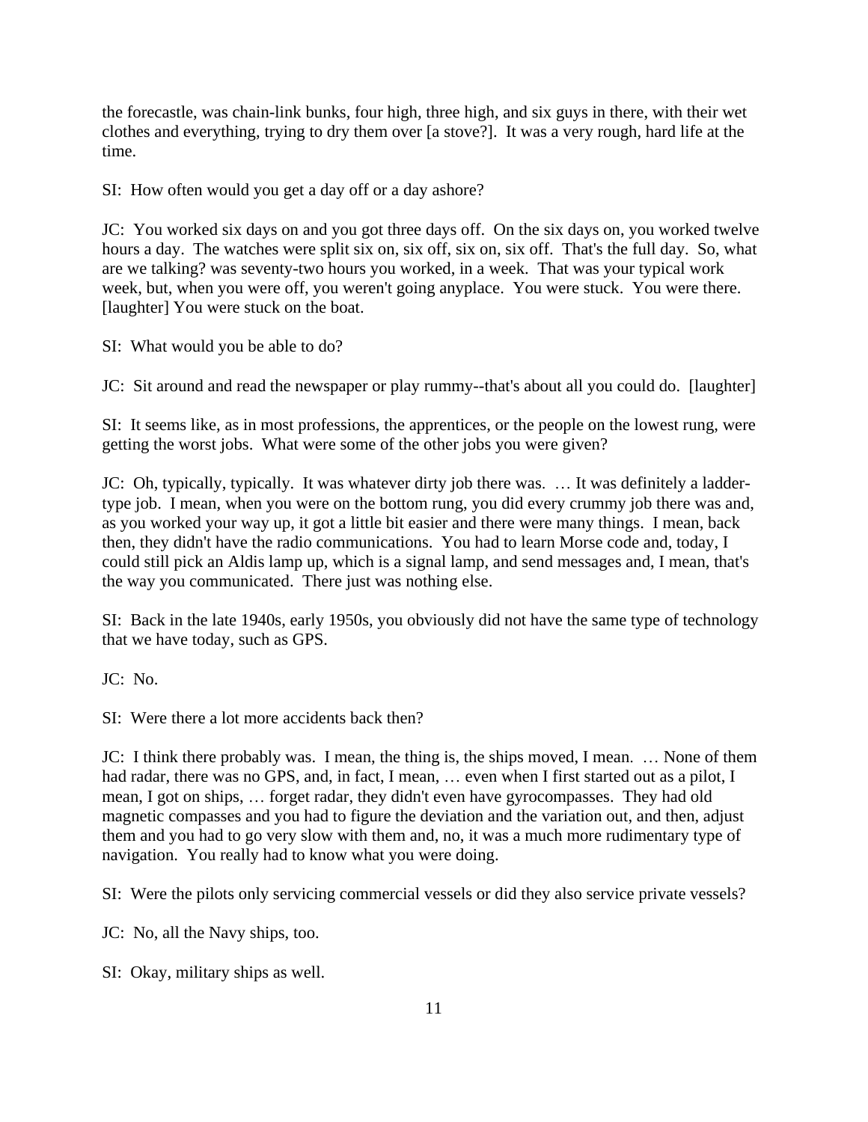the forecastle, was chain-link bunks, four high, three high, and six guys in there, with their wet clothes and everything, trying to dry them over [a stove?]. It was a very rough, hard life at the time.

SI: How often would you get a day off or a day ashore?

JC: You worked six days on and you got three days off. On the six days on, you worked twelve hours a day. The watches were split six on, six off, six on, six off. That's the full day. So, what are we talking? was seventy-two hours you worked, in a week. That was your typical work week, but, when you were off, you weren't going anyplace. You were stuck. You were there. [laughter] You were stuck on the boat.

SI: What would you be able to do?

JC: Sit around and read the newspaper or play rummy--that's about all you could do. [laughter]

SI: It seems like, as in most professions, the apprentices, or the people on the lowest rung, were getting the worst jobs. What were some of the other jobs you were given?

JC: Oh, typically, typically. It was whatever dirty job there was. … It was definitely a laddertype job. I mean, when you were on the bottom rung, you did every crummy job there was and, as you worked your way up, it got a little bit easier and there were many things. I mean, back then, they didn't have the radio communications. You had to learn Morse code and, today, I could still pick an Aldis lamp up, which is a signal lamp, and send messages and, I mean, that's the way you communicated. There just was nothing else.

SI: Back in the late 1940s, early 1950s, you obviously did not have the same type of technology that we have today, such as GPS.

JC: No.

SI: Were there a lot more accidents back then?

JC: I think there probably was. I mean, the thing is, the ships moved, I mean. … None of them had radar, there was no GPS, and, in fact, I mean, ... even when I first started out as a pilot, I mean, I got on ships, … forget radar, they didn't even have gyrocompasses. They had old magnetic compasses and you had to figure the deviation and the variation out, and then, adjust them and you had to go very slow with them and, no, it was a much more rudimentary type of navigation. You really had to know what you were doing.

SI: Were the pilots only servicing commercial vessels or did they also service private vessels?

JC: No, all the Navy ships, too.

SI: Okay, military ships as well.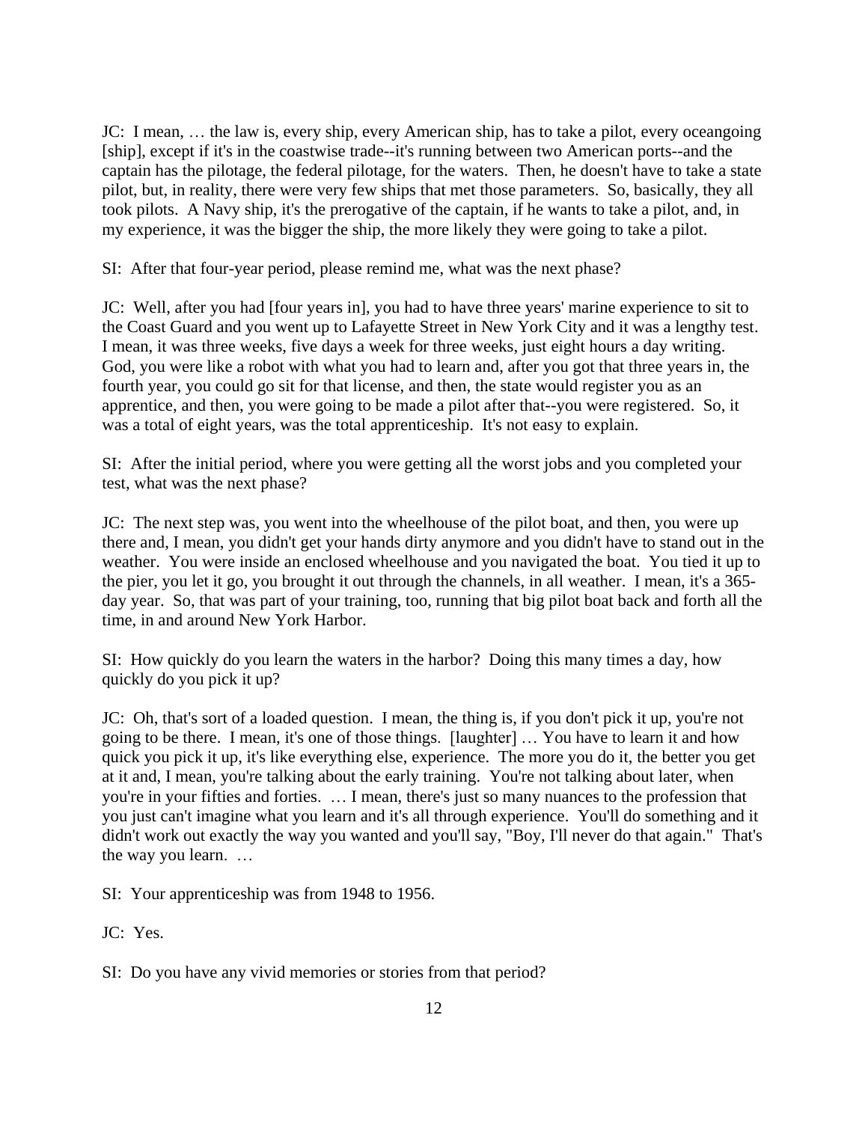JC: I mean, … the law is, every ship, every American ship, has to take a pilot, every oceangoing [ship], except if it's in the coastwise trade--it's running between two American ports--and the captain has the pilotage, the federal pilotage, for the waters. Then, he doesn't have to take a state pilot, but, in reality, there were very few ships that met those parameters. So, basically, they all took pilots. A Navy ship, it's the prerogative of the captain, if he wants to take a pilot, and, in my experience, it was the bigger the ship, the more likely they were going to take a pilot.

SI: After that four-year period, please remind me, what was the next phase?

JC: Well, after you had [four years in], you had to have three years' marine experience to sit to the Coast Guard and you went up to Lafayette Street in New York City and it was a lengthy test. I mean, it was three weeks, five days a week for three weeks, just eight hours a day writing. God, you were like a robot with what you had to learn and, after you got that three years in, the fourth year, you could go sit for that license, and then, the state would register you as an apprentice, and then, you were going to be made a pilot after that--you were registered. So, it was a total of eight years, was the total apprenticeship. It's not easy to explain.

SI: After the initial period, where you were getting all the worst jobs and you completed your test, what was the next phase?

JC: The next step was, you went into the wheelhouse of the pilot boat, and then, you were up there and, I mean, you didn't get your hands dirty anymore and you didn't have to stand out in the weather. You were inside an enclosed wheelhouse and you navigated the boat. You tied it up to the pier, you let it go, you brought it out through the channels, in all weather. I mean, it's a 365 day year. So, that was part of your training, too, running that big pilot boat back and forth all the time, in and around New York Harbor.

SI: How quickly do you learn the waters in the harbor? Doing this many times a day, how quickly do you pick it up?

JC: Oh, that's sort of a loaded question. I mean, the thing is, if you don't pick it up, you're not going to be there. I mean, it's one of those things. [laughter] … You have to learn it and how quick you pick it up, it's like everything else, experience. The more you do it, the better you get at it and, I mean, you're talking about the early training. You're not talking about later, when you're in your fifties and forties. … I mean, there's just so many nuances to the profession that you just can't imagine what you learn and it's all through experience. You'll do something and it didn't work out exactly the way you wanted and you'll say, "Boy, I'll never do that again." That's the way you learn. …

SI: Your apprenticeship was from 1948 to 1956.

JC: Yes.

SI: Do you have any vivid memories or stories from that period?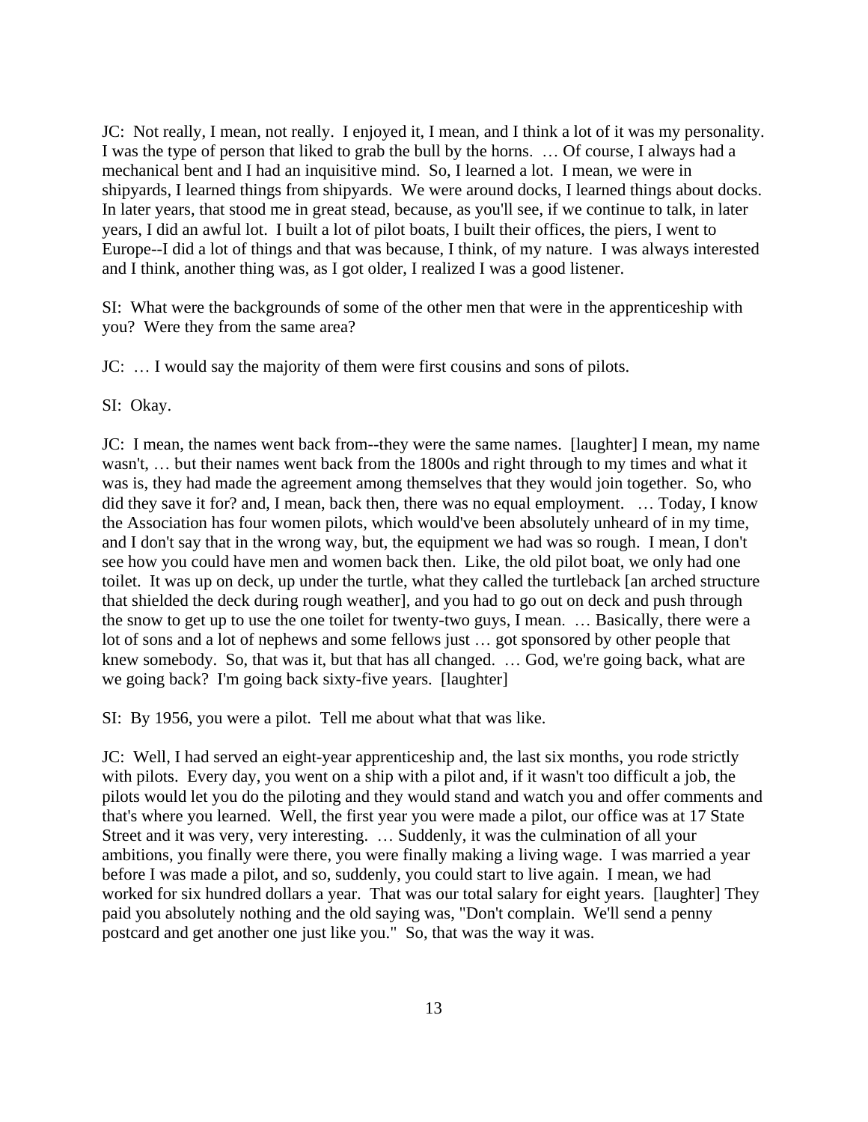JC: Not really, I mean, not really. I enjoyed it, I mean, and I think a lot of it was my personality. I was the type of person that liked to grab the bull by the horns. … Of course, I always had a mechanical bent and I had an inquisitive mind. So, I learned a lot. I mean, we were in shipyards, I learned things from shipyards. We were around docks, I learned things about docks. In later years, that stood me in great stead, because, as you'll see, if we continue to talk, in later years, I did an awful lot. I built a lot of pilot boats, I built their offices, the piers, I went to Europe--I did a lot of things and that was because, I think, of my nature. I was always interested and I think, another thing was, as I got older, I realized I was a good listener.

SI: What were the backgrounds of some of the other men that were in the apprenticeship with you? Were they from the same area?

JC: … I would say the majority of them were first cousins and sons of pilots.

SI: Okay.

JC: I mean, the names went back from--they were the same names. [laughter] I mean, my name wasn't, … but their names went back from the 1800s and right through to my times and what it was is, they had made the agreement among themselves that they would join together. So, who did they save it for? and, I mean, back then, there was no equal employment. … Today, I know the Association has four women pilots, which would've been absolutely unheard of in my time, and I don't say that in the wrong way, but, the equipment we had was so rough. I mean, I don't see how you could have men and women back then. Like, the old pilot boat, we only had one toilet. It was up on deck, up under the turtle, what they called the turtleback [an arched structure that shielded the deck during rough weather], and you had to go out on deck and push through the snow to get up to use the one toilet for twenty-two guys, I mean. … Basically, there were a lot of sons and a lot of nephews and some fellows just … got sponsored by other people that knew somebody. So, that was it, but that has all changed. … God, we're going back, what are we going back? I'm going back sixty-five years. [laughter]

SI: By 1956, you were a pilot. Tell me about what that was like.

JC: Well, I had served an eight-year apprenticeship and, the last six months, you rode strictly with pilots. Every day, you went on a ship with a pilot and, if it wasn't too difficult a job, the pilots would let you do the piloting and they would stand and watch you and offer comments and that's where you learned. Well, the first year you were made a pilot, our office was at 17 State Street and it was very, very interesting. … Suddenly, it was the culmination of all your ambitions, you finally were there, you were finally making a living wage. I was married a year before I was made a pilot, and so, suddenly, you could start to live again. I mean, we had worked for six hundred dollars a year. That was our total salary for eight years. [laughter] They paid you absolutely nothing and the old saying was, "Don't complain. We'll send a penny postcard and get another one just like you." So, that was the way it was.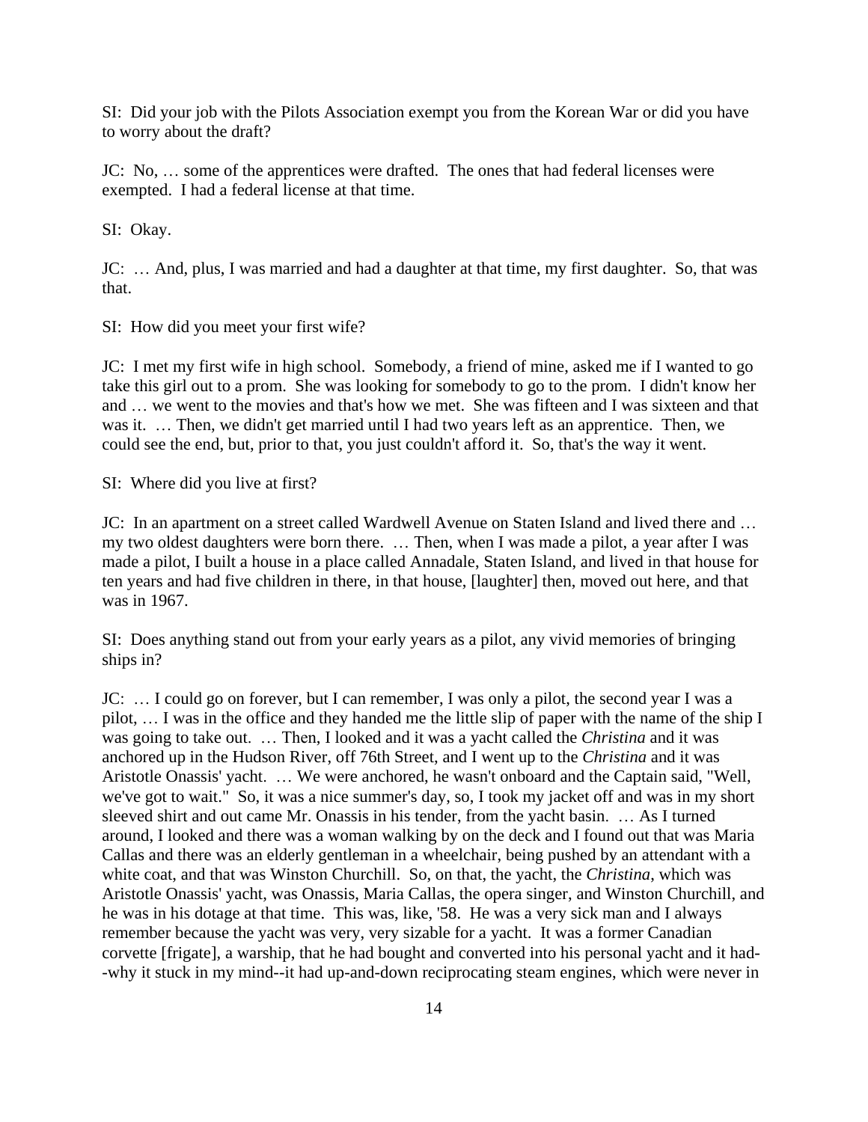SI: Did your job with the Pilots Association exempt you from the Korean War or did you have to worry about the draft?

JC: No, … some of the apprentices were drafted. The ones that had federal licenses were exempted. I had a federal license at that time.

SI: Okay.

JC: … And, plus, I was married and had a daughter at that time, my first daughter. So, that was that.

SI: How did you meet your first wife?

JC: I met my first wife in high school. Somebody, a friend of mine, asked me if I wanted to go take this girl out to a prom. She was looking for somebody to go to the prom. I didn't know her and … we went to the movies and that's how we met. She was fifteen and I was sixteen and that was it. … Then, we didn't get married until I had two years left as an apprentice. Then, we could see the end, but, prior to that, you just couldn't afford it. So, that's the way it went.

SI: Where did you live at first?

JC: In an apartment on a street called Wardwell Avenue on Staten Island and lived there and … my two oldest daughters were born there. … Then, when I was made a pilot, a year after I was made a pilot, I built a house in a place called Annadale, Staten Island, and lived in that house for ten years and had five children in there, in that house, [laughter] then, moved out here, and that was in 1967.

SI: Does anything stand out from your early years as a pilot, any vivid memories of bringing ships in?

JC: … I could go on forever, but I can remember, I was only a pilot, the second year I was a pilot, … I was in the office and they handed me the little slip of paper with the name of the ship I was going to take out. … Then, I looked and it was a yacht called the *Christina* and it was anchored up in the Hudson River, off 76th Street, and I went up to the *Christina* and it was Aristotle Onassis' yacht. … We were anchored, he wasn't onboard and the Captain said, "Well, we've got to wait." So, it was a nice summer's day, so, I took my jacket off and was in my short sleeved shirt and out came Mr. Onassis in his tender, from the yacht basin. … As I turned around, I looked and there was a woman walking by on the deck and I found out that was Maria Callas and there was an elderly gentleman in a wheelchair, being pushed by an attendant with a white coat, and that was Winston Churchill. So, on that, the yacht, the *Christina*, which was Aristotle Onassis' yacht, was Onassis, Maria Callas, the opera singer, and Winston Churchill, and he was in his dotage at that time. This was, like, '58. He was a very sick man and I always remember because the yacht was very, very sizable for a yacht. It was a former Canadian corvette [frigate], a warship, that he had bought and converted into his personal yacht and it had- -why it stuck in my mind--it had up-and-down reciprocating steam engines, which were never in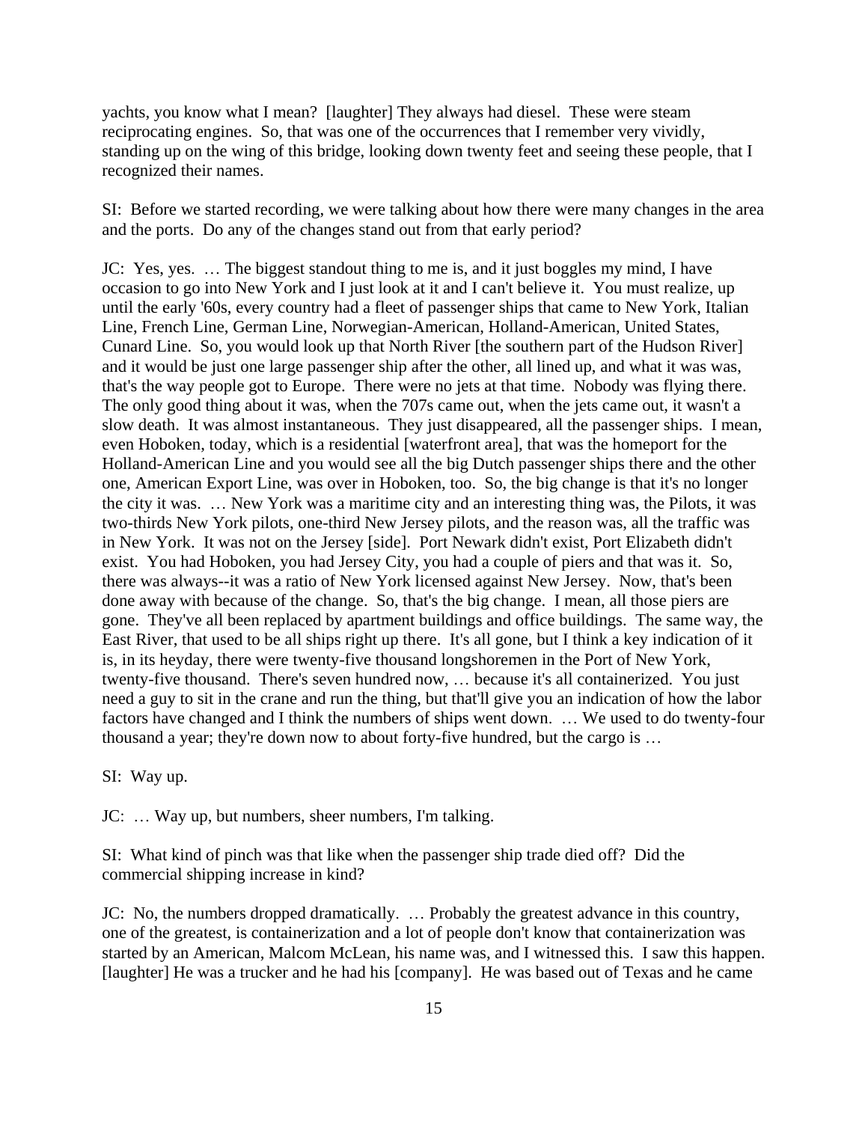yachts, you know what I mean? [laughter] They always had diesel. These were steam reciprocating engines. So, that was one of the occurrences that I remember very vividly, standing up on the wing of this bridge, looking down twenty feet and seeing these people, that I recognized their names.

SI: Before we started recording, we were talking about how there were many changes in the area and the ports. Do any of the changes stand out from that early period?

JC: Yes, yes. … The biggest standout thing to me is, and it just boggles my mind, I have occasion to go into New York and I just look at it and I can't believe it. You must realize, up until the early '60s, every country had a fleet of passenger ships that came to New York, Italian Line, French Line, German Line, Norwegian-American, Holland-American, United States, Cunard Line. So, you would look up that North River [the southern part of the Hudson River] and it would be just one large passenger ship after the other, all lined up, and what it was was, that's the way people got to Europe. There were no jets at that time. Nobody was flying there. The only good thing about it was, when the 707s came out, when the jets came out, it wasn't a slow death. It was almost instantaneous. They just disappeared, all the passenger ships. I mean, even Hoboken, today, which is a residential [waterfront area], that was the homeport for the Holland-American Line and you would see all the big Dutch passenger ships there and the other one, American Export Line, was over in Hoboken, too. So, the big change is that it's no longer the city it was. … New York was a maritime city and an interesting thing was, the Pilots, it was two-thirds New York pilots, one-third New Jersey pilots, and the reason was, all the traffic was in New York. It was not on the Jersey [side]. Port Newark didn't exist, Port Elizabeth didn't exist. You had Hoboken, you had Jersey City, you had a couple of piers and that was it. So, there was always--it was a ratio of New York licensed against New Jersey. Now, that's been done away with because of the change. So, that's the big change. I mean, all those piers are gone. They've all been replaced by apartment buildings and office buildings. The same way, the East River, that used to be all ships right up there. It's all gone, but I think a key indication of it is, in its heyday, there were twenty-five thousand longshoremen in the Port of New York, twenty-five thousand. There's seven hundred now, … because it's all containerized. You just need a guy to sit in the crane and run the thing, but that'll give you an indication of how the labor factors have changed and I think the numbers of ships went down. … We used to do twenty-four thousand a year; they're down now to about forty-five hundred, but the cargo is …

SI: Way up.

JC: … Way up, but numbers, sheer numbers, I'm talking.

SI: What kind of pinch was that like when the passenger ship trade died off? Did the commercial shipping increase in kind?

JC: No, the numbers dropped dramatically. … Probably the greatest advance in this country, one of the greatest, is containerization and a lot of people don't know that containerization was started by an American, Malcom McLean, his name was, and I witnessed this. I saw this happen. [laughter] He was a trucker and he had his [company]. He was based out of Texas and he came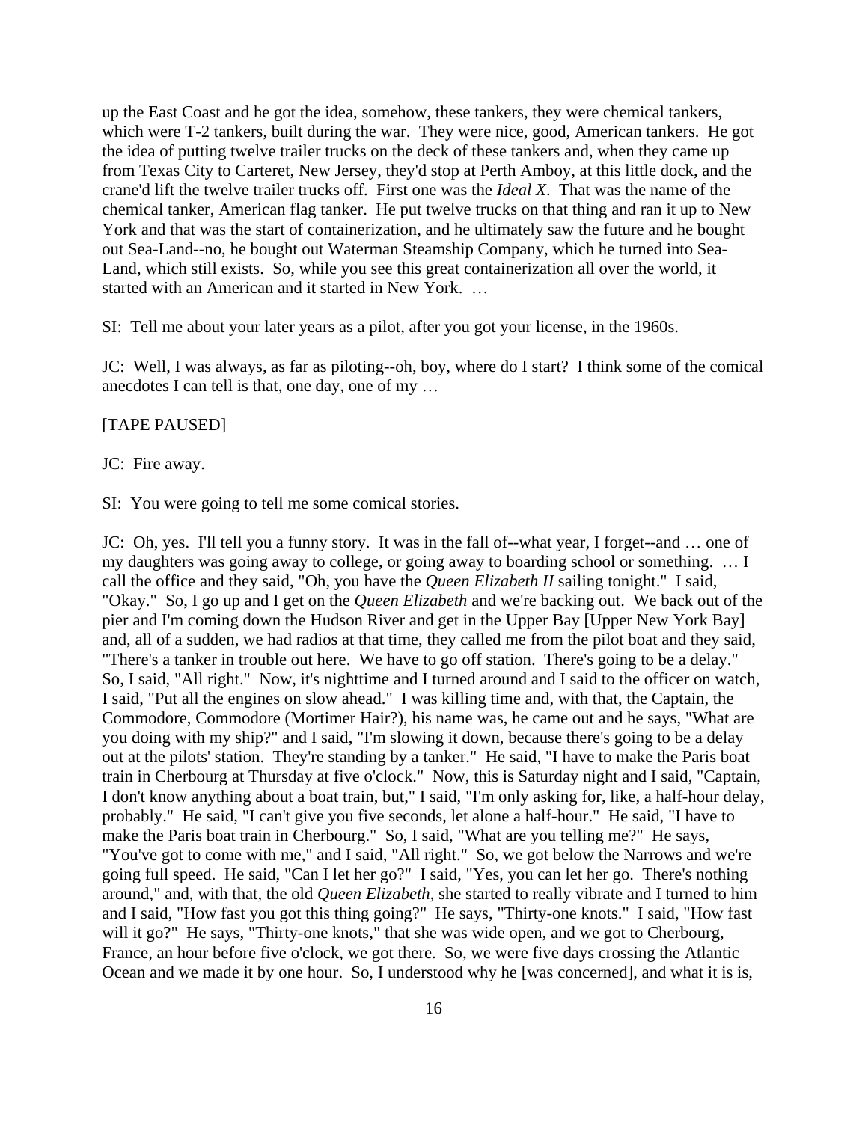up the East Coast and he got the idea, somehow, these tankers, they were chemical tankers, which were T-2 tankers, built during the war. They were nice, good, American tankers. He got the idea of putting twelve trailer trucks on the deck of these tankers and, when they came up from Texas City to Carteret, New Jersey, they'd stop at Perth Amboy, at this little dock, and the crane'd lift the twelve trailer trucks off. First one was the *Ideal X*. That was the name of the chemical tanker, American flag tanker. He put twelve trucks on that thing and ran it up to New York and that was the start of containerization, and he ultimately saw the future and he bought out Sea-Land--no, he bought out Waterman Steamship Company, which he turned into Sea-Land, which still exists. So, while you see this great containerization all over the world, it started with an American and it started in New York. …

SI: Tell me about your later years as a pilot, after you got your license, in the 1960s.

JC: Well, I was always, as far as piloting--oh, boy, where do I start? I think some of the comical anecdotes I can tell is that, one day, one of my …

## [TAPE PAUSED]

JC: Fire away.

SI: You were going to tell me some comical stories.

JC: Oh, yes. I'll tell you a funny story. It was in the fall of--what year, I forget--and … one of my daughters was going away to college, or going away to boarding school or something. … I call the office and they said, "Oh, you have the *Queen Elizabeth II* sailing tonight." I said, "Okay." So, I go up and I get on the *Queen Elizabeth* and we're backing out. We back out of the pier and I'm coming down the Hudson River and get in the Upper Bay [Upper New York Bay] and, all of a sudden, we had radios at that time, they called me from the pilot boat and they said, "There's a tanker in trouble out here. We have to go off station. There's going to be a delay." So, I said, "All right." Now, it's nighttime and I turned around and I said to the officer on watch, I said, "Put all the engines on slow ahead." I was killing time and, with that, the Captain, the Commodore, Commodore (Mortimer Hair?), his name was, he came out and he says, "What are you doing with my ship?" and I said, "I'm slowing it down, because there's going to be a delay out at the pilots' station. They're standing by a tanker." He said, "I have to make the Paris boat train in Cherbourg at Thursday at five o'clock." Now, this is Saturday night and I said, "Captain, I don't know anything about a boat train, but," I said, "I'm only asking for, like, a half-hour delay, probably." He said, "I can't give you five seconds, let alone a half-hour." He said, "I have to make the Paris boat train in Cherbourg." So, I said, "What are you telling me?" He says, "You've got to come with me," and I said, "All right." So, we got below the Narrows and we're going full speed. He said, "Can I let her go?" I said, "Yes, you can let her go. There's nothing around," and, with that, the old *Queen Elizabeth*, she started to really vibrate and I turned to him and I said, "How fast you got this thing going?" He says, "Thirty-one knots." I said, "How fast will it go?" He says, "Thirty-one knots," that she was wide open, and we got to Cherbourg, France, an hour before five o'clock, we got there. So, we were five days crossing the Atlantic Ocean and we made it by one hour. So, I understood why he [was concerned], and what it is is,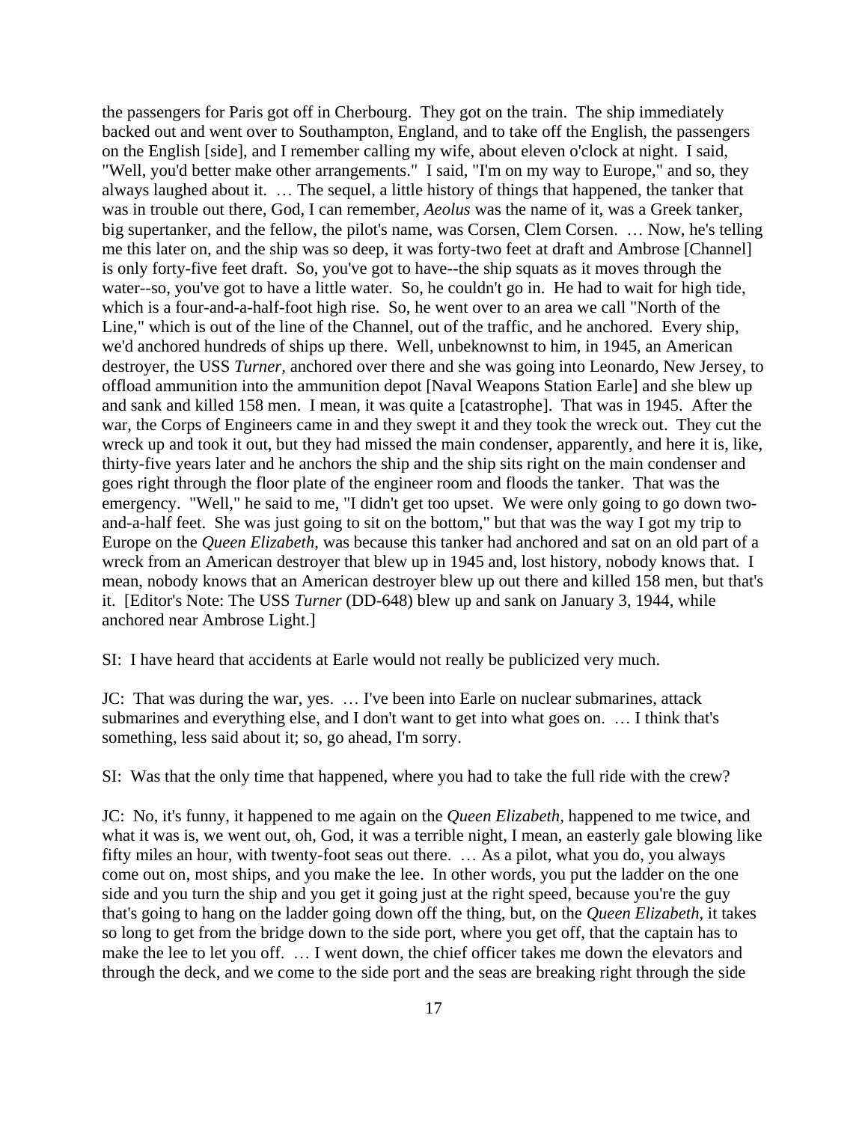the passengers for Paris got off in Cherbourg. They got on the train. The ship immediately backed out and went over to Southampton, England, and to take off the English, the passengers on the English [side], and I remember calling my wife, about eleven o'clock at night. I said, "Well, you'd better make other arrangements." I said, "I'm on my way to Europe," and so, they always laughed about it. … The sequel, a little history of things that happened, the tanker that was in trouble out there, God, I can remember, *Aeolus* was the name of it, was a Greek tanker, big supertanker, and the fellow, the pilot's name, was Corsen, Clem Corsen. … Now, he's telling me this later on, and the ship was so deep, it was forty-two feet at draft and Ambrose [Channel] is only forty-five feet draft. So, you've got to have--the ship squats as it moves through the water--so, you've got to have a little water. So, he couldn't go in. He had to wait for high tide, which is a four-and-a-half-foot high rise. So, he went over to an area we call "North of the Line," which is out of the line of the Channel, out of the traffic, and he anchored. Every ship, we'd anchored hundreds of ships up there. Well, unbeknownst to him, in 1945, an American destroyer, the USS *Turner,* anchored over there and she was going into Leonardo, New Jersey, to offload ammunition into the ammunition depot [Naval Weapons Station Earle] and she blew up and sank and killed 158 men. I mean, it was quite a [catastrophe]. That was in 1945. After the war, the Corps of Engineers came in and they swept it and they took the wreck out. They cut the wreck up and took it out, but they had missed the main condenser, apparently, and here it is, like, thirty-five years later and he anchors the ship and the ship sits right on the main condenser and goes right through the floor plate of the engineer room and floods the tanker. That was the emergency. "Well," he said to me, "I didn't get too upset. We were only going to go down twoand-a-half feet. She was just going to sit on the bottom," but that was the way I got my trip to Europe on the *Queen Elizabeth*, was because this tanker had anchored and sat on an old part of a wreck from an American destroyer that blew up in 1945 and, lost history, nobody knows that. I mean, nobody knows that an American destroyer blew up out there and killed 158 men, but that's it. [Editor's Note: The USS *Turner* (DD-648) blew up and sank on January 3, 1944, while anchored near Ambrose Light.]

SI: I have heard that accidents at Earle would not really be publicized very much.

JC: That was during the war, yes. … I've been into Earle on nuclear submarines, attack submarines and everything else, and I don't want to get into what goes on. … I think that's something, less said about it; so, go ahead, I'm sorry.

SI: Was that the only time that happened, where you had to take the full ride with the crew?

JC: No, it's funny, it happened to me again on the *Queen Elizabeth,* happened to me twice, and what it was is, we went out, oh, God, it was a terrible night, I mean, an easterly gale blowing like fifty miles an hour, with twenty-foot seas out there. … As a pilot, what you do, you always come out on, most ships, and you make the lee. In other words, you put the ladder on the one side and you turn the ship and you get it going just at the right speed, because you're the guy that's going to hang on the ladder going down off the thing, but, on the *Queen Elizabeth*, it takes so long to get from the bridge down to the side port, where you get off, that the captain has to make the lee to let you off. … I went down, the chief officer takes me down the elevators and through the deck, and we come to the side port and the seas are breaking right through the side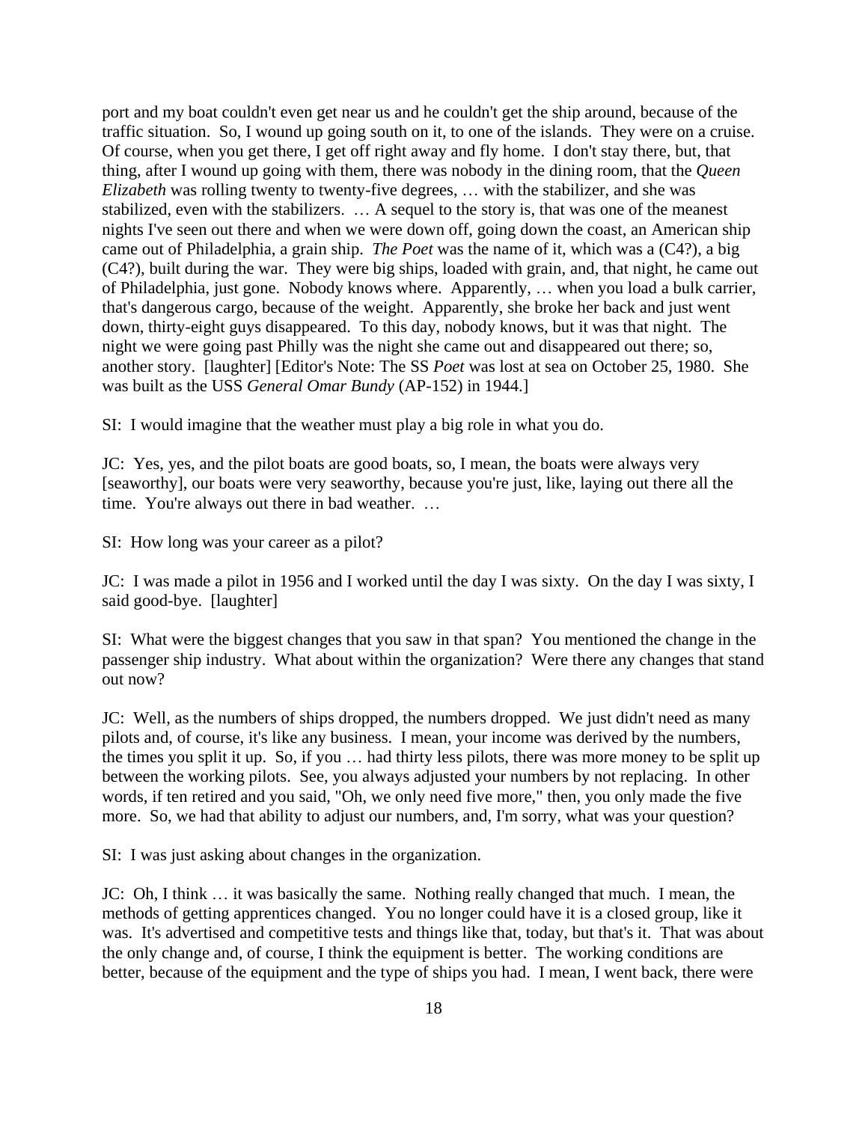port and my boat couldn't even get near us and he couldn't get the ship around, because of the traffic situation. So, I wound up going south on it, to one of the islands. They were on a cruise. Of course, when you get there, I get off right away and fly home. I don't stay there, but, that thing, after I wound up going with them, there was nobody in the dining room, that the *Queen Elizabeth* was rolling twenty to twenty-five degrees, ... with the stabilizer, and she was stabilized, even with the stabilizers. … A sequel to the story is, that was one of the meanest nights I've seen out there and when we were down off, going down the coast, an American ship came out of Philadelphia, a grain ship. *The Poet* was the name of it, which was a (C4?), a big (C4?), built during the war. They were big ships, loaded with grain, and, that night, he came out of Philadelphia, just gone. Nobody knows where. Apparently, … when you load a bulk carrier, that's dangerous cargo, because of the weight. Apparently, she broke her back and just went down, thirty-eight guys disappeared. To this day, nobody knows, but it was that night. The night we were going past Philly was the night she came out and disappeared out there; so, another story. [laughter] [Editor's Note: The SS *Poet* was lost at sea on October 25, 1980. She was built as the USS *General Omar Bundy* (AP-152) in 1944.]

SI: I would imagine that the weather must play a big role in what you do.

JC: Yes, yes, and the pilot boats are good boats, so, I mean, the boats were always very [seaworthy], our boats were very seaworthy, because you're just, like, laying out there all the time. You're always out there in bad weather. …

SI: How long was your career as a pilot?

JC: I was made a pilot in 1956 and I worked until the day I was sixty. On the day I was sixty, I said good-bye. [laughter]

SI: What were the biggest changes that you saw in that span? You mentioned the change in the passenger ship industry. What about within the organization? Were there any changes that stand out now?

JC: Well, as the numbers of ships dropped, the numbers dropped. We just didn't need as many pilots and, of course, it's like any business. I mean, your income was derived by the numbers, the times you split it up. So, if you … had thirty less pilots, there was more money to be split up between the working pilots. See, you always adjusted your numbers by not replacing. In other words, if ten retired and you said, "Oh, we only need five more," then, you only made the five more. So, we had that ability to adjust our numbers, and, I'm sorry, what was your question?

SI: I was just asking about changes in the organization.

JC: Oh, I think … it was basically the same. Nothing really changed that much. I mean, the methods of getting apprentices changed. You no longer could have it is a closed group, like it was. It's advertised and competitive tests and things like that, today, but that's it. That was about the only change and, of course, I think the equipment is better. The working conditions are better, because of the equipment and the type of ships you had. I mean, I went back, there were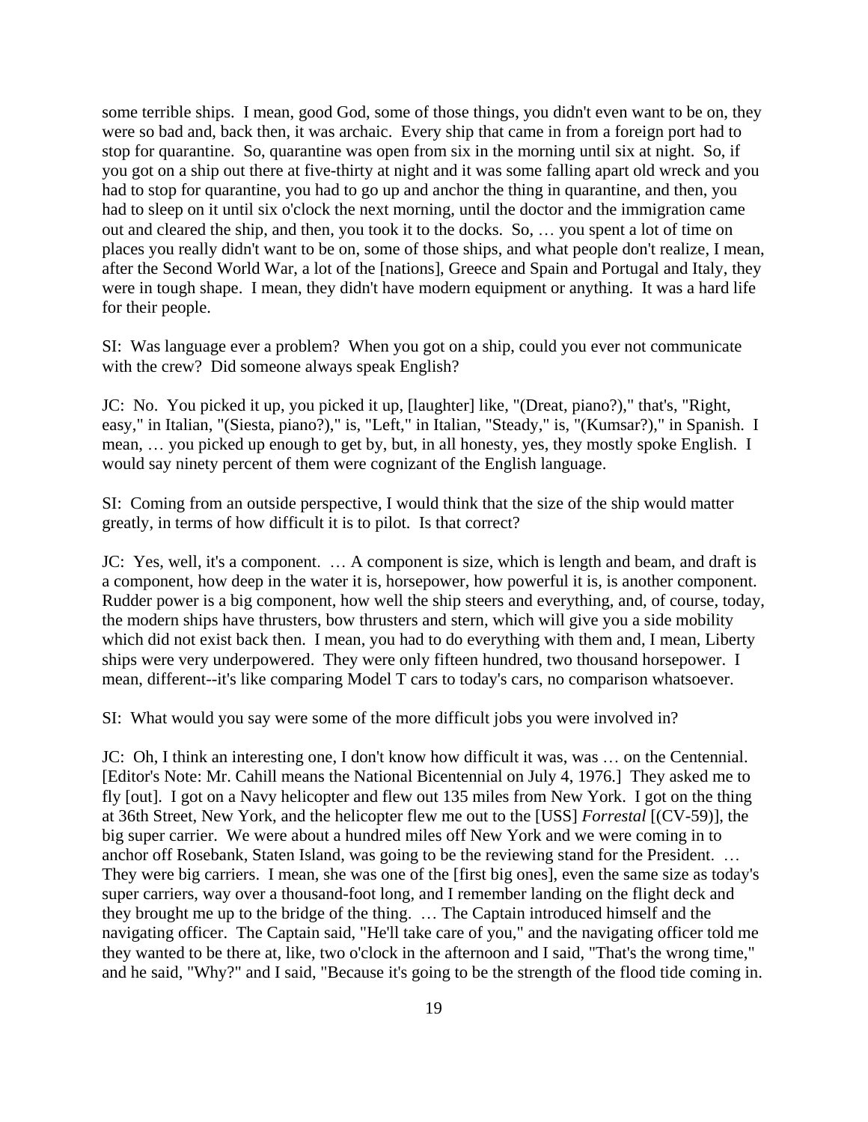some terrible ships. I mean, good God, some of those things, you didn't even want to be on, they were so bad and, back then, it was archaic. Every ship that came in from a foreign port had to stop for quarantine. So, quarantine was open from six in the morning until six at night. So, if you got on a ship out there at five-thirty at night and it was some falling apart old wreck and you had to stop for quarantine, you had to go up and anchor the thing in quarantine, and then, you had to sleep on it until six o'clock the next morning, until the doctor and the immigration came out and cleared the ship, and then, you took it to the docks. So, … you spent a lot of time on places you really didn't want to be on, some of those ships, and what people don't realize, I mean, after the Second World War, a lot of the [nations], Greece and Spain and Portugal and Italy, they were in tough shape. I mean, they didn't have modern equipment or anything. It was a hard life for their people.

SI: Was language ever a problem? When you got on a ship, could you ever not communicate with the crew? Did someone always speak English?

JC: No. You picked it up, you picked it up, [laughter] like, "(Dreat, piano?)," that's, "Right, easy," in Italian, "(Siesta, piano?)," is, "Left," in Italian, "Steady," is, "(Kumsar?)," in Spanish. I mean, … you picked up enough to get by, but, in all honesty, yes, they mostly spoke English. I would say ninety percent of them were cognizant of the English language.

SI: Coming from an outside perspective, I would think that the size of the ship would matter greatly, in terms of how difficult it is to pilot. Is that correct?

JC: Yes, well, it's a component. … A component is size, which is length and beam, and draft is a component, how deep in the water it is, horsepower, how powerful it is, is another component. Rudder power is a big component, how well the ship steers and everything, and, of course, today, the modern ships have thrusters, bow thrusters and stern, which will give you a side mobility which did not exist back then. I mean, you had to do everything with them and, I mean, Liberty ships were very underpowered. They were only fifteen hundred, two thousand horsepower. I mean, different--it's like comparing Model T cars to today's cars, no comparison whatsoever.

SI: What would you say were some of the more difficult jobs you were involved in?

JC: Oh, I think an interesting one, I don't know how difficult it was, was … on the Centennial. [Editor's Note: Mr. Cahill means the National Bicentennial on July 4, 1976.] They asked me to fly [out]. I got on a Navy helicopter and flew out 135 miles from New York. I got on the thing at 36th Street, New York, and the helicopter flew me out to the [USS] *Forrestal* [(CV-59)], the big super carrier. We were about a hundred miles off New York and we were coming in to anchor off Rosebank, Staten Island, was going to be the reviewing stand for the President. … They were big carriers. I mean, she was one of the [first big ones], even the same size as today's super carriers, way over a thousand-foot long, and I remember landing on the flight deck and they brought me up to the bridge of the thing. … The Captain introduced himself and the navigating officer. The Captain said, "He'll take care of you," and the navigating officer told me they wanted to be there at, like, two o'clock in the afternoon and I said, "That's the wrong time," and he said, "Why?" and I said, "Because it's going to be the strength of the flood tide coming in.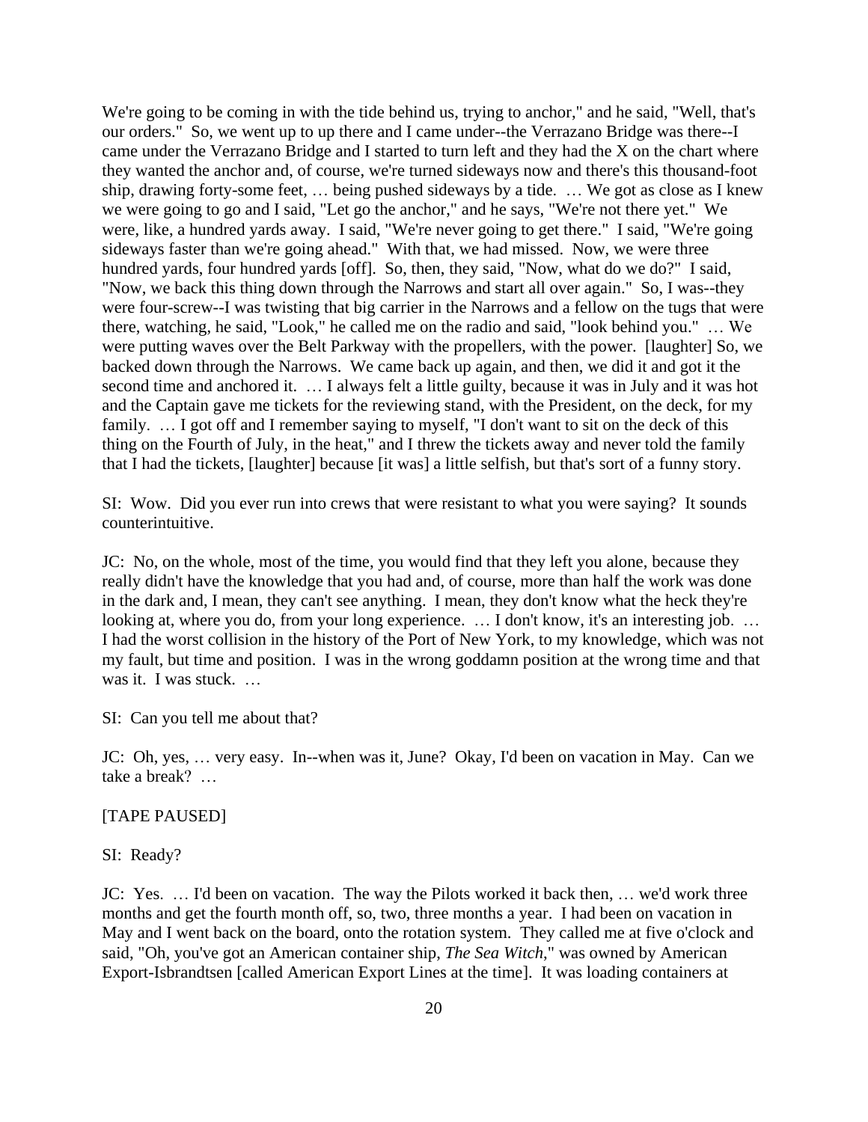We're going to be coming in with the tide behind us, trying to anchor," and he said, "Well, that's our orders." So, we went up to up there and I came under--the Verrazano Bridge was there--I came under the Verrazano Bridge and I started to turn left and they had the X on the chart where they wanted the anchor and, of course, we're turned sideways now and there's this thousand-foot ship, drawing forty-some feet, … being pushed sideways by a tide. … We got as close as I knew we were going to go and I said, "Let go the anchor," and he says, "We're not there yet." We were, like, a hundred yards away. I said, "We're never going to get there." I said, "We're going sideways faster than we're going ahead." With that, we had missed. Now, we were three hundred yards, four hundred yards [off]. So, then, they said, "Now, what do we do?" I said, "Now, we back this thing down through the Narrows and start all over again." So, I was--they were four-screw--I was twisting that big carrier in the Narrows and a fellow on the tugs that were there, watching, he said, "Look," he called me on the radio and said, "look behind you." … We were putting waves over the Belt Parkway with the propellers, with the power. [laughter] So, we backed down through the Narrows. We came back up again, and then, we did it and got it the second time and anchored it. … I always felt a little guilty, because it was in July and it was hot and the Captain gave me tickets for the reviewing stand, with the President, on the deck, for my family. ... I got off and I remember saying to myself, "I don't want to sit on the deck of this thing on the Fourth of July, in the heat," and I threw the tickets away and never told the family that I had the tickets, [laughter] because [it was] a little selfish, but that's sort of a funny story.

SI: Wow. Did you ever run into crews that were resistant to what you were saying? It sounds counterintuitive.

JC: No, on the whole, most of the time, you would find that they left you alone, because they really didn't have the knowledge that you had and, of course, more than half the work was done in the dark and, I mean, they can't see anything. I mean, they don't know what the heck they're looking at, where you do, from your long experience. ... I don't know, it's an interesting job. ... I had the worst collision in the history of the Port of New York, to my knowledge, which was not my fault, but time and position. I was in the wrong goddamn position at the wrong time and that was it. I was stuck. ...

SI: Can you tell me about that?

JC: Oh, yes, … very easy. In--when was it, June? Okay, I'd been on vacation in May. Can we take a break? …

#### [TAPE PAUSED]

#### SI: Ready?

JC: Yes. … I'd been on vacation. The way the Pilots worked it back then, … we'd work three months and get the fourth month off, so, two, three months a year. I had been on vacation in May and I went back on the board, onto the rotation system. They called me at five o'clock and said, "Oh, you've got an American container ship, *The Sea Witch*," was owned by American Export-Isbrandtsen [called American Export Lines at the time]. It was loading containers at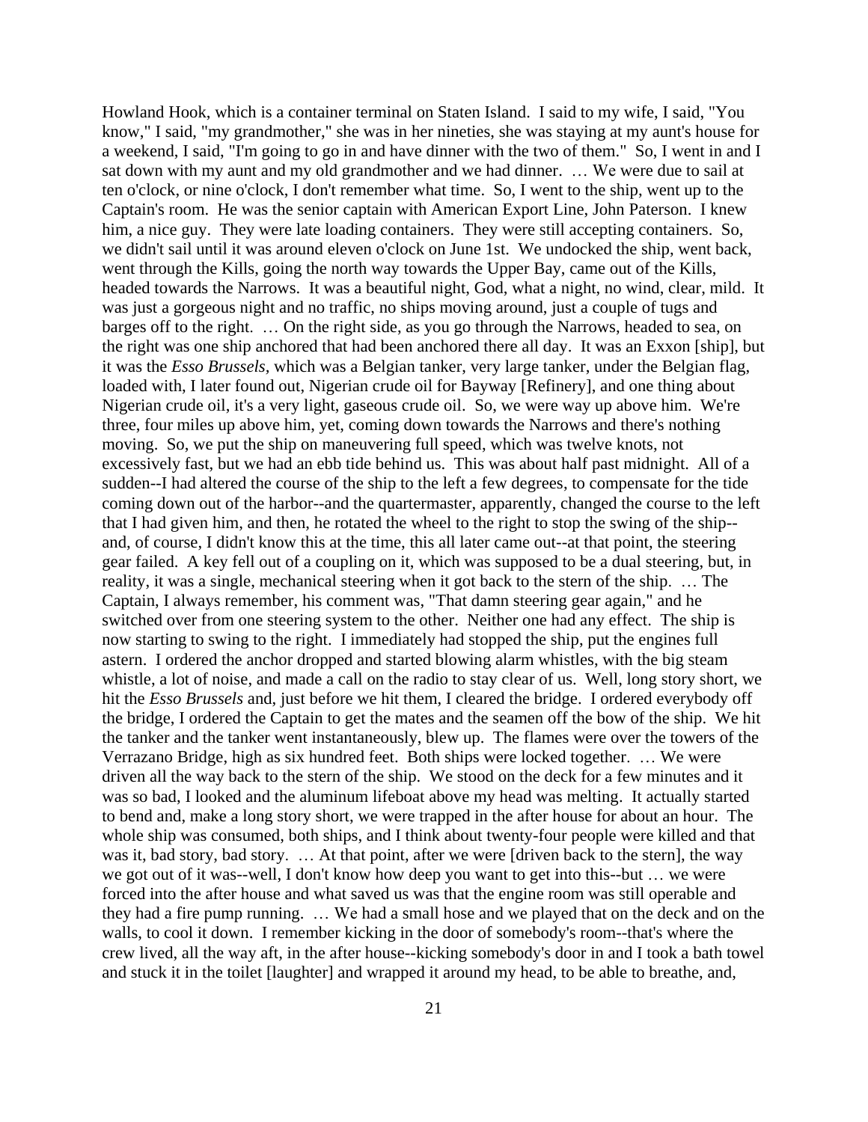Howland Hook, which is a container terminal on Staten Island. I said to my wife, I said, "You know," I said, "my grandmother," she was in her nineties, she was staying at my aunt's house for a weekend, I said, "I'm going to go in and have dinner with the two of them." So, I went in and I sat down with my aunt and my old grandmother and we had dinner. … We were due to sail at ten o'clock, or nine o'clock, I don't remember what time. So, I went to the ship, went up to the Captain's room. He was the senior captain with American Export Line, John Paterson. I knew him, a nice guy. They were late loading containers. They were still accepting containers. So, we didn't sail until it was around eleven o'clock on June 1st. We undocked the ship, went back, went through the Kills, going the north way towards the Upper Bay, came out of the Kills, headed towards the Narrows. It was a beautiful night, God, what a night, no wind, clear, mild. It was just a gorgeous night and no traffic, no ships moving around, just a couple of tugs and barges off to the right. … On the right side, as you go through the Narrows, headed to sea, on the right was one ship anchored that had been anchored there all day. It was an Exxon [ship], but it was the *Esso Brussels,* which was a Belgian tanker, very large tanker, under the Belgian flag, loaded with, I later found out, Nigerian crude oil for Bayway [Refinery], and one thing about Nigerian crude oil, it's a very light, gaseous crude oil. So, we were way up above him. We're three, four miles up above him, yet, coming down towards the Narrows and there's nothing moving. So, we put the ship on maneuvering full speed, which was twelve knots, not excessively fast, but we had an ebb tide behind us. This was about half past midnight. All of a sudden--I had altered the course of the ship to the left a few degrees, to compensate for the tide coming down out of the harbor--and the quartermaster, apparently, changed the course to the left that I had given him, and then, he rotated the wheel to the right to stop the swing of the ship- and, of course, I didn't know this at the time, this all later came out--at that point, the steering gear failed. A key fell out of a coupling on it, which was supposed to be a dual steering, but, in reality, it was a single, mechanical steering when it got back to the stern of the ship. … The Captain, I always remember, his comment was, "That damn steering gear again," and he switched over from one steering system to the other. Neither one had any effect. The ship is now starting to swing to the right. I immediately had stopped the ship, put the engines full astern. I ordered the anchor dropped and started blowing alarm whistles, with the big steam whistle, a lot of noise, and made a call on the radio to stay clear of us. Well, long story short, we hit the *Esso Brussels* and, just before we hit them, I cleared the bridge. I ordered everybody off the bridge, I ordered the Captain to get the mates and the seamen off the bow of the ship. We hit the tanker and the tanker went instantaneously, blew up. The flames were over the towers of the Verrazano Bridge, high as six hundred feet. Both ships were locked together. … We were driven all the way back to the stern of the ship. We stood on the deck for a few minutes and it was so bad, I looked and the aluminum lifeboat above my head was melting. It actually started to bend and, make a long story short, we were trapped in the after house for about an hour. The whole ship was consumed, both ships, and I think about twenty-four people were killed and that was it, bad story, bad story. … At that point, after we were [driven back to the stern], the way we got out of it was--well, I don't know how deep you want to get into this--but … we were forced into the after house and what saved us was that the engine room was still operable and they had a fire pump running. … We had a small hose and we played that on the deck and on the walls, to cool it down. I remember kicking in the door of somebody's room--that's where the crew lived, all the way aft, in the after house--kicking somebody's door in and I took a bath towel and stuck it in the toilet [laughter] and wrapped it around my head, to be able to breathe, and,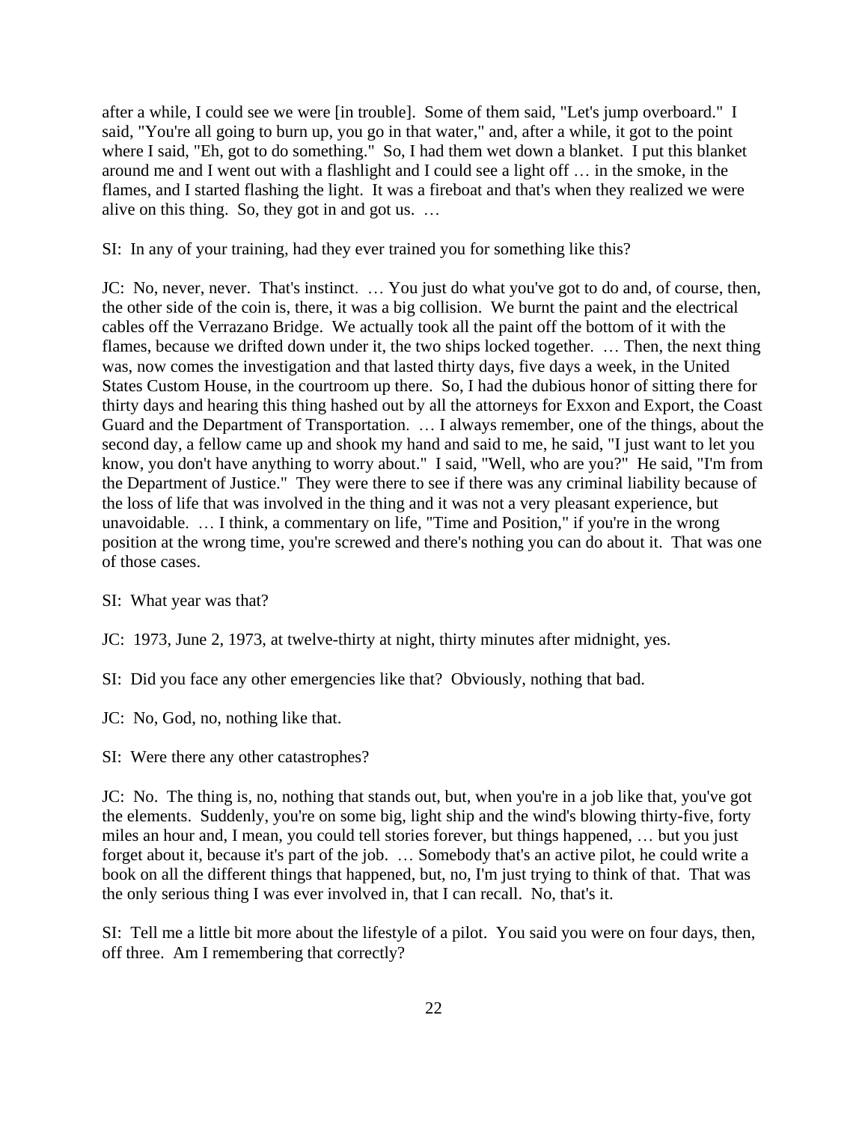after a while, I could see we were [in trouble]. Some of them said, "Let's jump overboard." I said, "You're all going to burn up, you go in that water," and, after a while, it got to the point where I said, "Eh, got to do something." So, I had them wet down a blanket. I put this blanket around me and I went out with a flashlight and I could see a light off … in the smoke, in the flames, and I started flashing the light. It was a fireboat and that's when they realized we were alive on this thing. So, they got in and got us. …

SI: In any of your training, had they ever trained you for something like this?

JC: No, never, never. That's instinct. … You just do what you've got to do and, of course, then, the other side of the coin is, there, it was a big collision. We burnt the paint and the electrical cables off the Verrazano Bridge. We actually took all the paint off the bottom of it with the flames, because we drifted down under it, the two ships locked together. … Then, the next thing was, now comes the investigation and that lasted thirty days, five days a week, in the United States Custom House, in the courtroom up there. So, I had the dubious honor of sitting there for thirty days and hearing this thing hashed out by all the attorneys for Exxon and Export, the Coast Guard and the Department of Transportation. … I always remember, one of the things, about the second day, a fellow came up and shook my hand and said to me, he said, "I just want to let you know, you don't have anything to worry about." I said, "Well, who are you?" He said, "I'm from the Department of Justice." They were there to see if there was any criminal liability because of the loss of life that was involved in the thing and it was not a very pleasant experience, but unavoidable. … I think, a commentary on life, "Time and Position," if you're in the wrong position at the wrong time, you're screwed and there's nothing you can do about it. That was one of those cases.

SI: What year was that?

JC: 1973, June 2, 1973, at twelve-thirty at night, thirty minutes after midnight, yes.

- SI: Did you face any other emergencies like that? Obviously, nothing that bad.
- JC: No, God, no, nothing like that.
- SI: Were there any other catastrophes?

JC: No. The thing is, no, nothing that stands out, but, when you're in a job like that, you've got the elements. Suddenly, you're on some big, light ship and the wind's blowing thirty-five, forty miles an hour and, I mean, you could tell stories forever, but things happened, … but you just forget about it, because it's part of the job. … Somebody that's an active pilot, he could write a book on all the different things that happened, but, no, I'm just trying to think of that. That was the only serious thing I was ever involved in, that I can recall. No, that's it.

SI: Tell me a little bit more about the lifestyle of a pilot. You said you were on four days, then, off three. Am I remembering that correctly?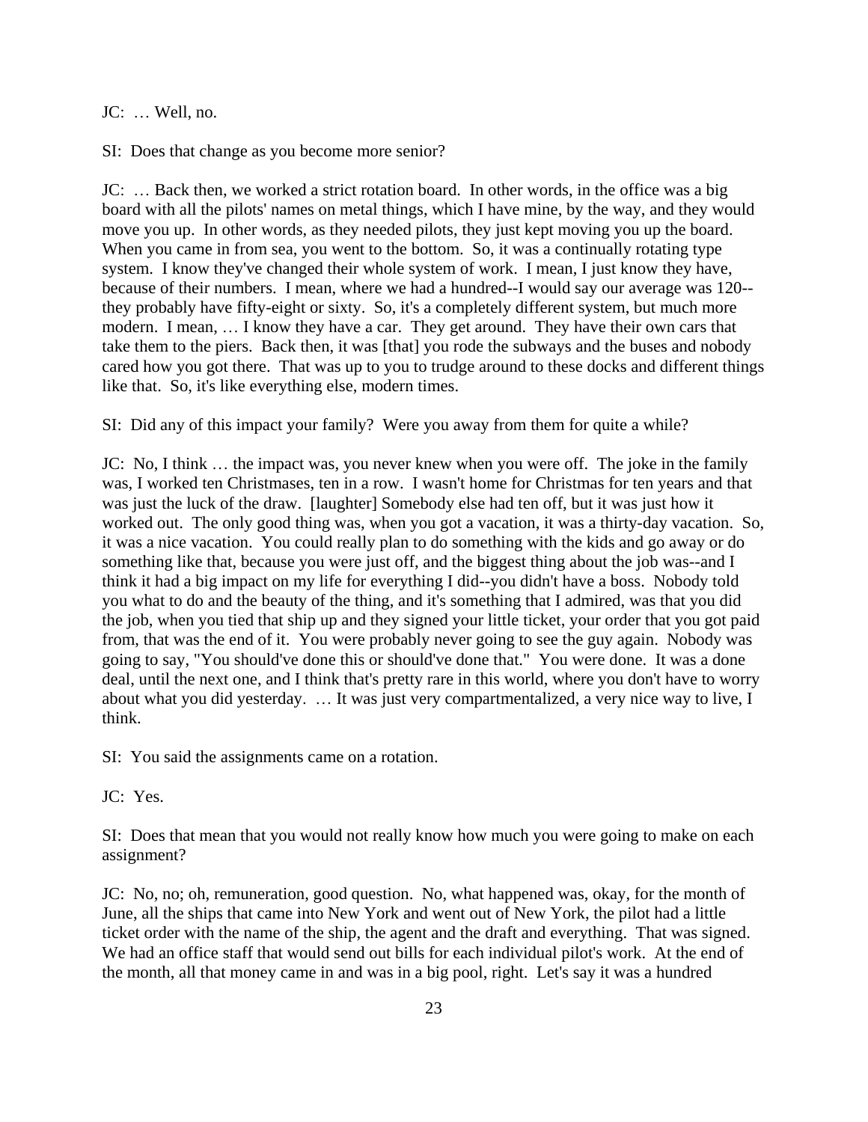JC: ... Well, no.

SI: Does that change as you become more senior?

JC: … Back then, we worked a strict rotation board. In other words, in the office was a big board with all the pilots' names on metal things, which I have mine, by the way, and they would move you up. In other words, as they needed pilots, they just kept moving you up the board. When you came in from sea, you went to the bottom. So, it was a continually rotating type system. I know they've changed their whole system of work. I mean, I just know they have, because of their numbers. I mean, where we had a hundred--I would say our average was 120- they probably have fifty-eight or sixty. So, it's a completely different system, but much more modern. I mean, … I know they have a car. They get around. They have their own cars that take them to the piers. Back then, it was [that] you rode the subways and the buses and nobody cared how you got there. That was up to you to trudge around to these docks and different things like that. So, it's like everything else, modern times.

SI: Did any of this impact your family? Were you away from them for quite a while?

JC: No, I think … the impact was, you never knew when you were off. The joke in the family was, I worked ten Christmases, ten in a row. I wasn't home for Christmas for ten years and that was just the luck of the draw. [laughter] Somebody else had ten off, but it was just how it worked out. The only good thing was, when you got a vacation, it was a thirty-day vacation. So, it was a nice vacation. You could really plan to do something with the kids and go away or do something like that, because you were just off, and the biggest thing about the job was--and I think it had a big impact on my life for everything I did--you didn't have a boss. Nobody told you what to do and the beauty of the thing, and it's something that I admired, was that you did the job, when you tied that ship up and they signed your little ticket, your order that you got paid from, that was the end of it. You were probably never going to see the guy again. Nobody was going to say, "You should've done this or should've done that." You were done. It was a done deal, until the next one, and I think that's pretty rare in this world, where you don't have to worry about what you did yesterday. … It was just very compartmentalized, a very nice way to live, I think.

SI: You said the assignments came on a rotation.

JC: Yes.

SI: Does that mean that you would not really know how much you were going to make on each assignment?

JC: No, no; oh, remuneration, good question. No, what happened was, okay, for the month of June, all the ships that came into New York and went out of New York, the pilot had a little ticket order with the name of the ship, the agent and the draft and everything. That was signed. We had an office staff that would send out bills for each individual pilot's work. At the end of the month, all that money came in and was in a big pool, right. Let's say it was a hundred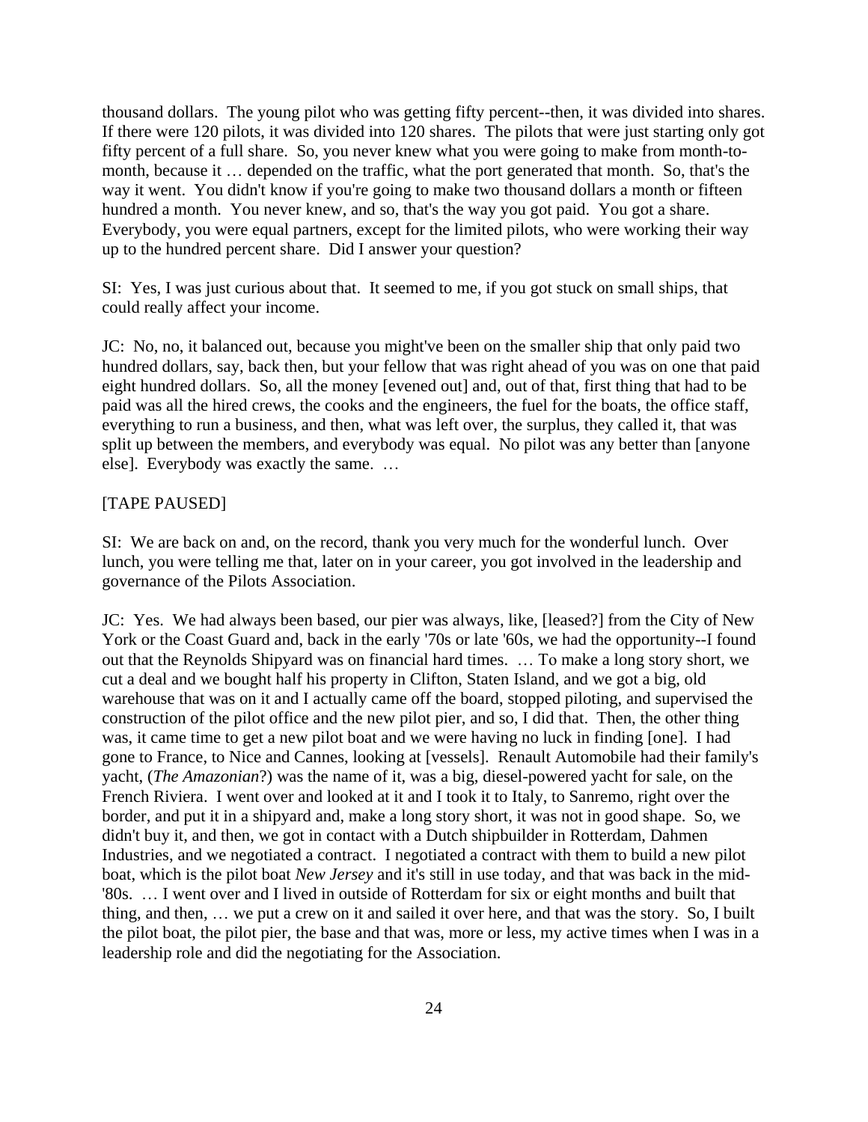thousand dollars. The young pilot who was getting fifty percent--then, it was divided into shares. If there were 120 pilots, it was divided into 120 shares. The pilots that were just starting only got fifty percent of a full share. So, you never knew what you were going to make from month-tomonth, because it … depended on the traffic, what the port generated that month. So, that's the way it went. You didn't know if you're going to make two thousand dollars a month or fifteen hundred a month. You never knew, and so, that's the way you got paid. You got a share. Everybody, you were equal partners, except for the limited pilots, who were working their way up to the hundred percent share. Did I answer your question?

SI: Yes, I was just curious about that. It seemed to me, if you got stuck on small ships, that could really affect your income.

JC: No, no, it balanced out, because you might've been on the smaller ship that only paid two hundred dollars, say, back then, but your fellow that was right ahead of you was on one that paid eight hundred dollars. So, all the money [evened out] and, out of that, first thing that had to be paid was all the hired crews, the cooks and the engineers, the fuel for the boats, the office staff, everything to run a business, and then, what was left over, the surplus, they called it, that was split up between the members, and everybody was equal. No pilot was any better than [anyone else]. Everybody was exactly the same. …

#### [TAPE PAUSED]

SI: We are back on and, on the record, thank you very much for the wonderful lunch. Over lunch, you were telling me that, later on in your career, you got involved in the leadership and governance of the Pilots Association.

JC: Yes. We had always been based, our pier was always, like, [leased?] from the City of New York or the Coast Guard and, back in the early '70s or late '60s, we had the opportunity--I found out that the Reynolds Shipyard was on financial hard times. … To make a long story short, we cut a deal and we bought half his property in Clifton, Staten Island, and we got a big, old warehouse that was on it and I actually came off the board, stopped piloting, and supervised the construction of the pilot office and the new pilot pier, and so, I did that. Then, the other thing was, it came time to get a new pilot boat and we were having no luck in finding [one]. I had gone to France, to Nice and Cannes, looking at [vessels]. Renault Automobile had their family's yacht, (*The Amazonian*?) was the name of it, was a big, diesel-powered yacht for sale, on the French Riviera. I went over and looked at it and I took it to Italy, to Sanremo, right over the border, and put it in a shipyard and, make a long story short, it was not in good shape. So, we didn't buy it, and then, we got in contact with a Dutch shipbuilder in Rotterdam, Dahmen Industries, and we negotiated a contract. I negotiated a contract with them to build a new pilot boat, which is the pilot boat *New Jersey* and it's still in use today, and that was back in the mid- '80s. … I went over and I lived in outside of Rotterdam for six or eight months and built that thing, and then, … we put a crew on it and sailed it over here, and that was the story. So, I built the pilot boat, the pilot pier, the base and that was, more or less, my active times when I was in a leadership role and did the negotiating for the Association.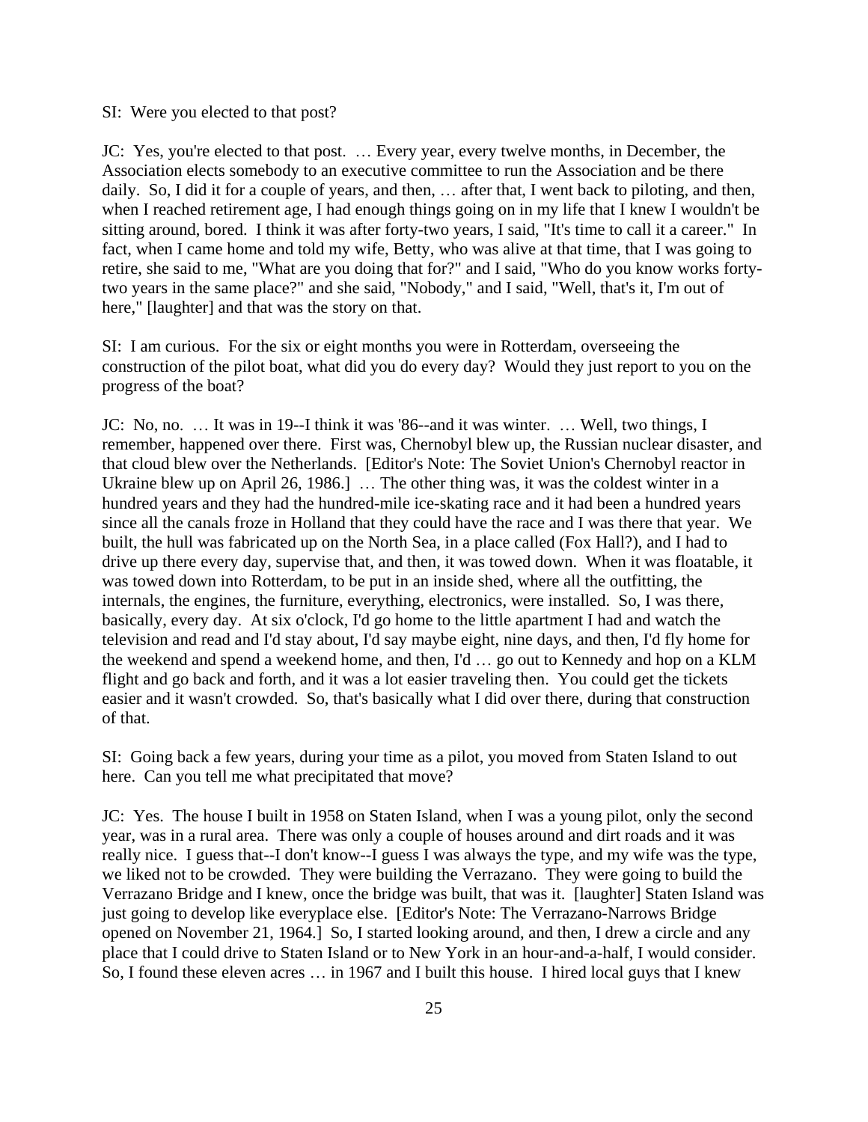## SI: Were you elected to that post?

JC: Yes, you're elected to that post. … Every year, every twelve months, in December, the Association elects somebody to an executive committee to run the Association and be there daily. So, I did it for a couple of years, and then, … after that, I went back to piloting, and then, when I reached retirement age, I had enough things going on in my life that I knew I wouldn't be sitting around, bored. I think it was after forty-two years, I said, "It's time to call it a career." In fact, when I came home and told my wife, Betty, who was alive at that time, that I was going to retire, she said to me, "What are you doing that for?" and I said, "Who do you know works fortytwo years in the same place?" and she said, "Nobody," and I said, "Well, that's it, I'm out of here," [laughter] and that was the story on that.

SI: I am curious. For the six or eight months you were in Rotterdam, overseeing the construction of the pilot boat, what did you do every day? Would they just report to you on the progress of the boat?

JC: No, no. … It was in 19--I think it was '86--and it was winter. … Well, two things, I remember, happened over there. First was, Chernobyl blew up, the Russian nuclear disaster, and that cloud blew over the Netherlands. [Editor's Note: The Soviet Union's Chernobyl reactor in Ukraine blew up on April 26, 1986.] ... The other thing was, it was the coldest winter in a hundred years and they had the hundred-mile ice-skating race and it had been a hundred years since all the canals froze in Holland that they could have the race and I was there that year. We built, the hull was fabricated up on the North Sea, in a place called (Fox Hall?), and I had to drive up there every day, supervise that, and then, it was towed down. When it was floatable, it was towed down into Rotterdam, to be put in an inside shed, where all the outfitting, the internals, the engines, the furniture, everything, electronics, were installed. So, I was there, basically, every day. At six o'clock, I'd go home to the little apartment I had and watch the television and read and I'd stay about, I'd say maybe eight, nine days, and then, I'd fly home for the weekend and spend a weekend home, and then, I'd … go out to Kennedy and hop on a KLM flight and go back and forth, and it was a lot easier traveling then. You could get the tickets easier and it wasn't crowded. So, that's basically what I did over there, during that construction of that.

SI: Going back a few years, during your time as a pilot, you moved from Staten Island to out here. Can you tell me what precipitated that move?

JC: Yes. The house I built in 1958 on Staten Island, when I was a young pilot, only the second year, was in a rural area. There was only a couple of houses around and dirt roads and it was really nice. I guess that--I don't know--I guess I was always the type, and my wife was the type, we liked not to be crowded. They were building the Verrazano. They were going to build the Verrazano Bridge and I knew, once the bridge was built, that was it. [laughter] Staten Island was just going to develop like everyplace else. [Editor's Note: The Verrazano-Narrows Bridge opened on November 21, 1964.] So, I started looking around, and then, I drew a circle and any place that I could drive to Staten Island or to New York in an hour-and-a-half, I would consider. So, I found these eleven acres … in 1967 and I built this house. I hired local guys that I knew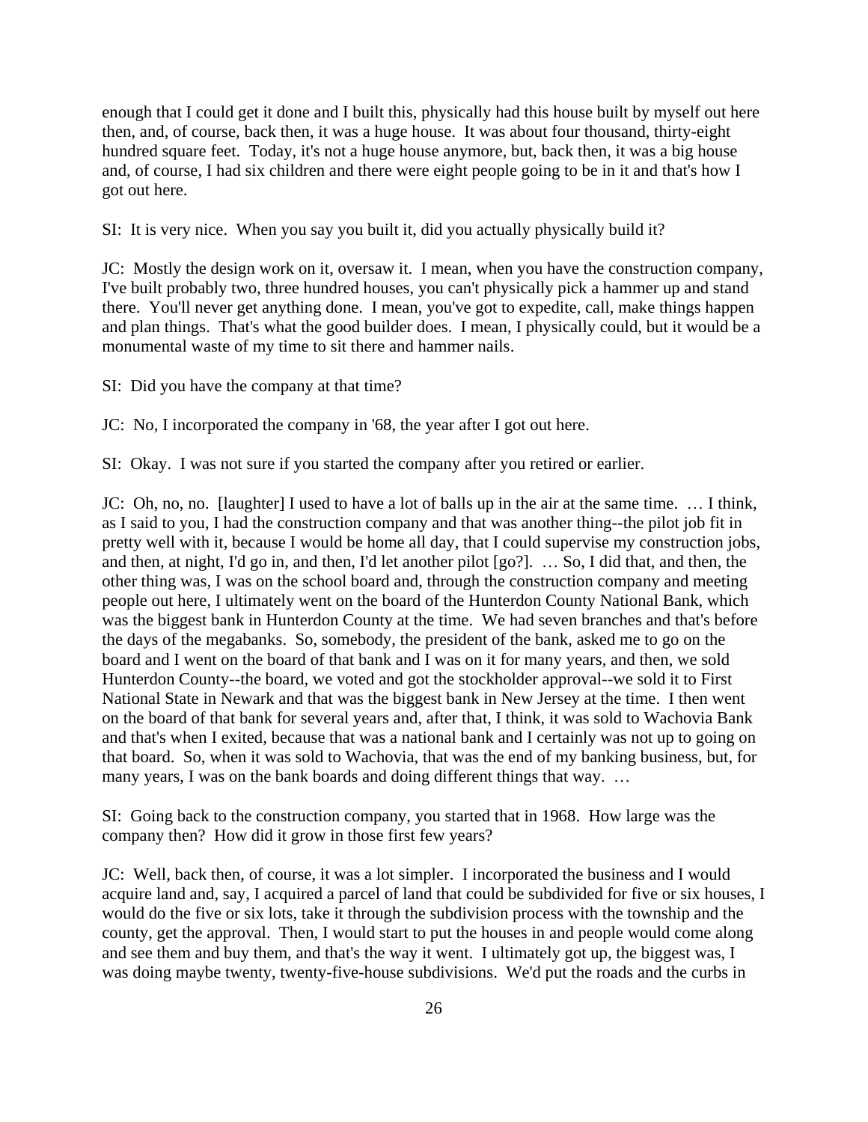enough that I could get it done and I built this, physically had this house built by myself out here then, and, of course, back then, it was a huge house. It was about four thousand, thirty-eight hundred square feet. Today, it's not a huge house anymore, but, back then, it was a big house and, of course, I had six children and there were eight people going to be in it and that's how I got out here.

SI: It is very nice. When you say you built it, did you actually physically build it?

JC: Mostly the design work on it, oversaw it. I mean, when you have the construction company, I've built probably two, three hundred houses, you can't physically pick a hammer up and stand there. You'll never get anything done. I mean, you've got to expedite, call, make things happen and plan things. That's what the good builder does. I mean, I physically could, but it would be a monumental waste of my time to sit there and hammer nails.

SI: Did you have the company at that time?

JC: No, I incorporated the company in '68, the year after I got out here.

SI: Okay. I was not sure if you started the company after you retired or earlier.

JC: Oh, no, no. [laughter] I used to have a lot of balls up in the air at the same time. … I think, as I said to you, I had the construction company and that was another thing--the pilot job fit in pretty well with it, because I would be home all day, that I could supervise my construction jobs, and then, at night, I'd go in, and then, I'd let another pilot [go?]. … So, I did that, and then, the other thing was, I was on the school board and, through the construction company and meeting people out here, I ultimately went on the board of the Hunterdon County National Bank, which was the biggest bank in Hunterdon County at the time. We had seven branches and that's before the days of the megabanks. So, somebody, the president of the bank, asked me to go on the board and I went on the board of that bank and I was on it for many years, and then, we sold Hunterdon County--the board, we voted and got the stockholder approval--we sold it to First National State in Newark and that was the biggest bank in New Jersey at the time. I then went on the board of that bank for several years and, after that, I think, it was sold to Wachovia Bank and that's when I exited, because that was a national bank and I certainly was not up to going on that board. So, when it was sold to Wachovia, that was the end of my banking business, but, for many years, I was on the bank boards and doing different things that way. ...

SI: Going back to the construction company, you started that in 1968. How large was the company then? How did it grow in those first few years?

JC: Well, back then, of course, it was a lot simpler. I incorporated the business and I would acquire land and, say, I acquired a parcel of land that could be subdivided for five or six houses, I would do the five or six lots, take it through the subdivision process with the township and the county, get the approval. Then, I would start to put the houses in and people would come along and see them and buy them, and that's the way it went. I ultimately got up, the biggest was, I was doing maybe twenty, twenty-five-house subdivisions. We'd put the roads and the curbs in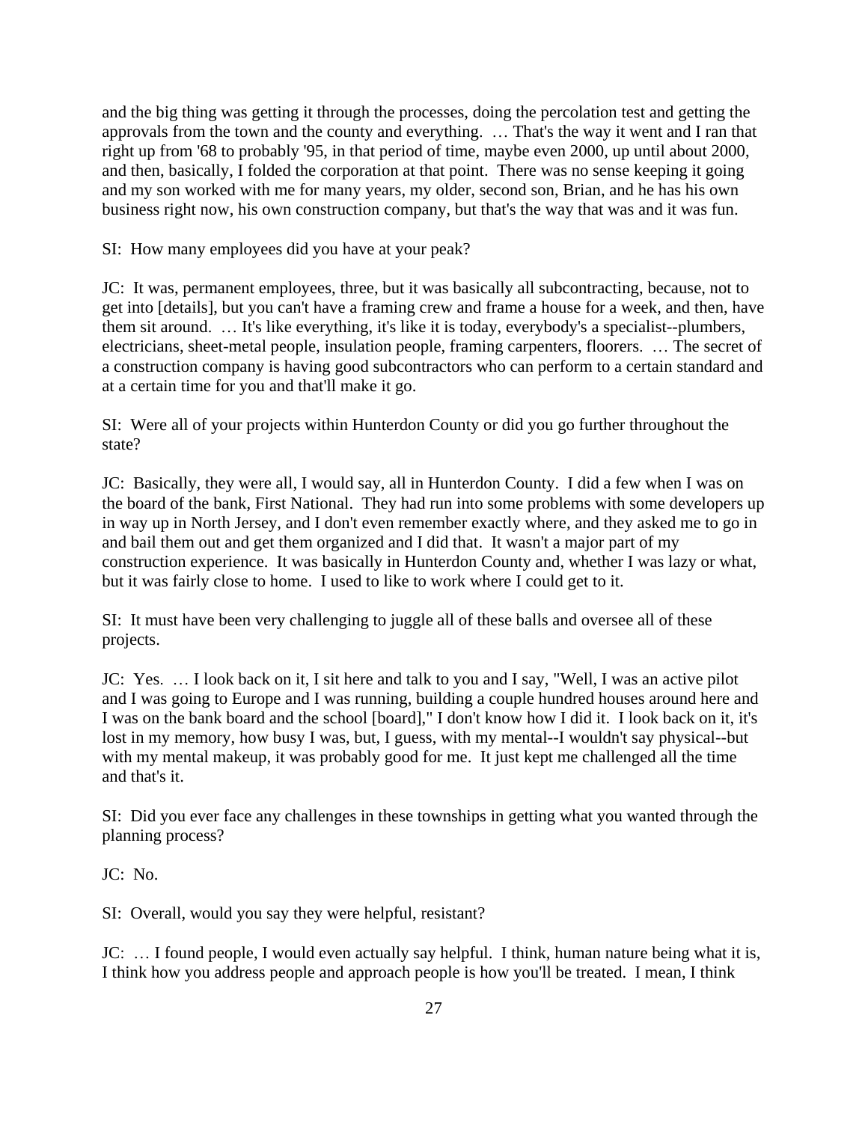and the big thing was getting it through the processes, doing the percolation test and getting the approvals from the town and the county and everything. … That's the way it went and I ran that right up from '68 to probably '95, in that period of time, maybe even 2000, up until about 2000, and then, basically, I folded the corporation at that point. There was no sense keeping it going and my son worked with me for many years, my older, second son, Brian, and he has his own business right now, his own construction company, but that's the way that was and it was fun.

SI: How many employees did you have at your peak?

JC: It was, permanent employees, three, but it was basically all subcontracting, because, not to get into [details], but you can't have a framing crew and frame a house for a week, and then, have them sit around. … It's like everything, it's like it is today, everybody's a specialist--plumbers, electricians, sheet-metal people, insulation people, framing carpenters, floorers. … The secret of a construction company is having good subcontractors who can perform to a certain standard and at a certain time for you and that'll make it go.

SI: Were all of your projects within Hunterdon County or did you go further throughout the state?

JC: Basically, they were all, I would say, all in Hunterdon County. I did a few when I was on the board of the bank, First National. They had run into some problems with some developers up in way up in North Jersey, and I don't even remember exactly where, and they asked me to go in and bail them out and get them organized and I did that. It wasn't a major part of my construction experience. It was basically in Hunterdon County and, whether I was lazy or what, but it was fairly close to home. I used to like to work where I could get to it.

SI: It must have been very challenging to juggle all of these balls and oversee all of these projects.

JC: Yes. … I look back on it, I sit here and talk to you and I say, "Well, I was an active pilot and I was going to Europe and I was running, building a couple hundred houses around here and I was on the bank board and the school [board]," I don't know how I did it. I look back on it, it's lost in my memory, how busy I was, but, I guess, with my mental--I wouldn't say physical--but with my mental makeup, it was probably good for me. It just kept me challenged all the time and that's it.

SI: Did you ever face any challenges in these townships in getting what you wanted through the planning process?

JC: No.

SI: Overall, would you say they were helpful, resistant?

JC: … I found people, I would even actually say helpful. I think, human nature being what it is, I think how you address people and approach people is how you'll be treated. I mean, I think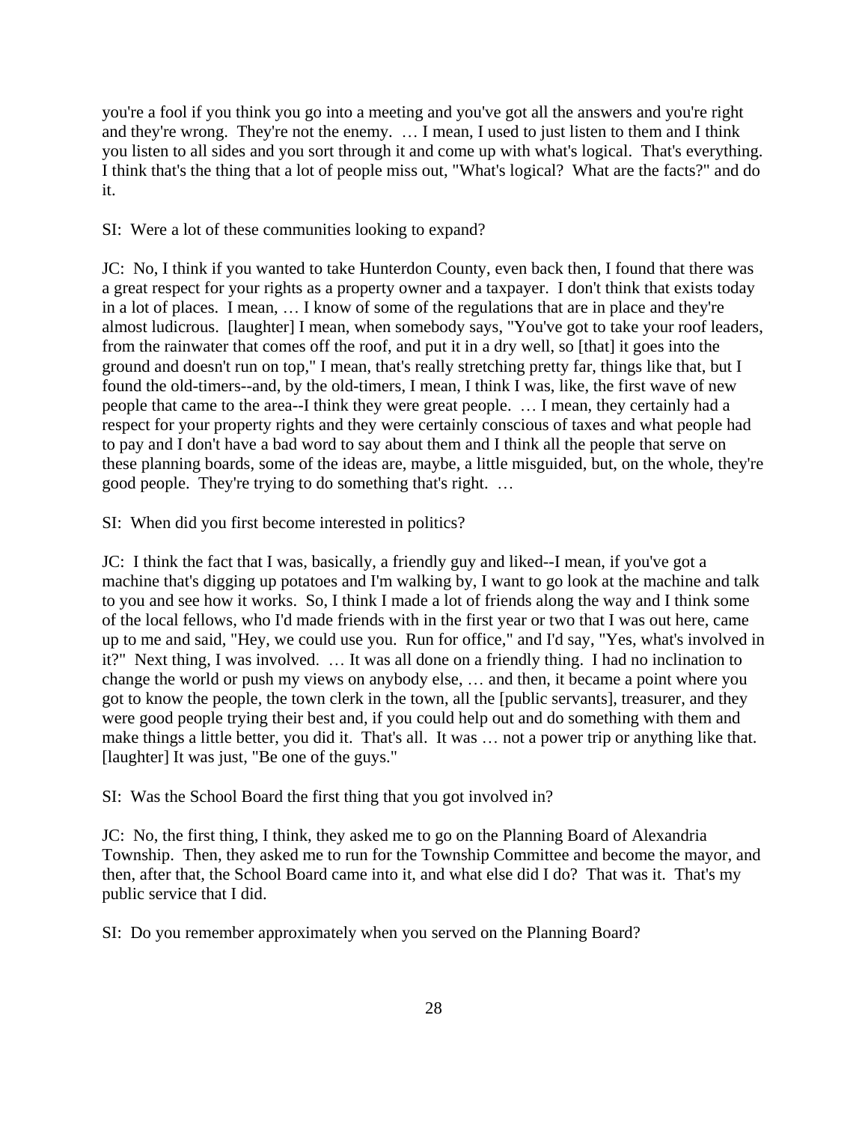you're a fool if you think you go into a meeting and you've got all the answers and you're right and they're wrong. They're not the enemy. … I mean, I used to just listen to them and I think you listen to all sides and you sort through it and come up with what's logical. That's everything. I think that's the thing that a lot of people miss out, "What's logical? What are the facts?" and do it.

## SI: Were a lot of these communities looking to expand?

JC: No, I think if you wanted to take Hunterdon County, even back then, I found that there was a great respect for your rights as a property owner and a taxpayer. I don't think that exists today in a lot of places. I mean, … I know of some of the regulations that are in place and they're almost ludicrous. [laughter] I mean, when somebody says, "You've got to take your roof leaders, from the rainwater that comes off the roof, and put it in a dry well, so [that] it goes into the ground and doesn't run on top," I mean, that's really stretching pretty far, things like that, but I found the old-timers--and, by the old-timers, I mean, I think I was, like, the first wave of new people that came to the area--I think they were great people. … I mean, they certainly had a respect for your property rights and they were certainly conscious of taxes and what people had to pay and I don't have a bad word to say about them and I think all the people that serve on these planning boards, some of the ideas are, maybe, a little misguided, but, on the whole, they're good people. They're trying to do something that's right. …

SI: When did you first become interested in politics?

JC: I think the fact that I was, basically, a friendly guy and liked--I mean, if you've got a machine that's digging up potatoes and I'm walking by, I want to go look at the machine and talk to you and see how it works. So, I think I made a lot of friends along the way and I think some of the local fellows, who I'd made friends with in the first year or two that I was out here, came up to me and said, "Hey, we could use you. Run for office," and I'd say, "Yes, what's involved in it?" Next thing, I was involved. … It was all done on a friendly thing. I had no inclination to change the world or push my views on anybody else, … and then, it became a point where you got to know the people, the town clerk in the town, all the [public servants], treasurer, and they were good people trying their best and, if you could help out and do something with them and make things a little better, you did it. That's all. It was … not a power trip or anything like that. [laughter] It was just, "Be one of the guys."

SI: Was the School Board the first thing that you got involved in?

JC: No, the first thing, I think, they asked me to go on the Planning Board of Alexandria Township. Then, they asked me to run for the Township Committee and become the mayor, and then, after that, the School Board came into it, and what else did I do? That was it. That's my public service that I did.

SI: Do you remember approximately when you served on the Planning Board?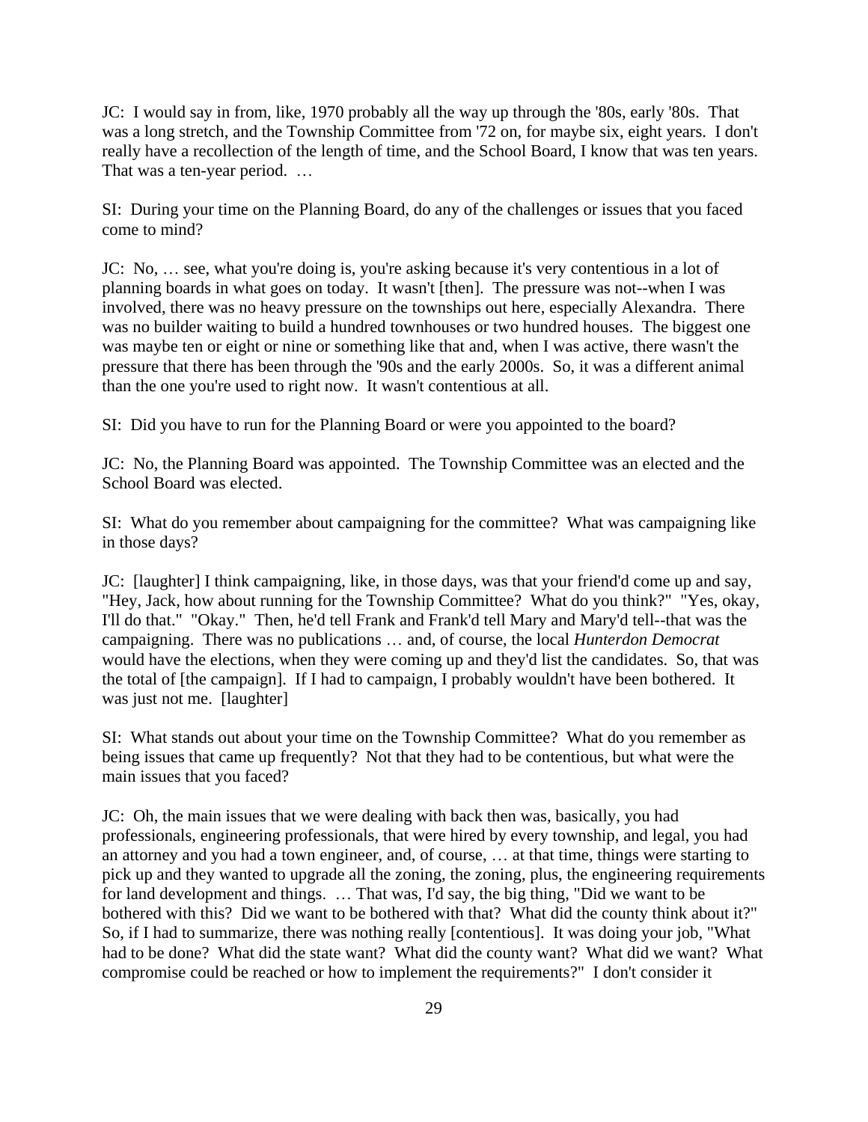JC: I would say in from, like, 1970 probably all the way up through the '80s, early '80s. That was a long stretch, and the Township Committee from '72 on, for maybe six, eight years. I don't really have a recollection of the length of time, and the School Board, I know that was ten years. That was a ten-year period. …

SI: During your time on the Planning Board, do any of the challenges or issues that you faced come to mind?

JC: No, ... see, what you're doing is, you're asking because it's very contentious in a lot of planning boards in what goes on today. It wasn't [then]. The pressure was not--when I was involved, there was no heavy pressure on the townships out here, especially Alexandra. There was no builder waiting to build a hundred townhouses or two hundred houses. The biggest one was maybe ten or eight or nine or something like that and, when I was active, there wasn't the pressure that there has been through the '90s and the early 2000s. So, it was a different animal than the one you're used to right now. It wasn't contentious at all.

SI: Did you have to run for the Planning Board or were you appointed to the board?

JC: No, the Planning Board was appointed. The Township Committee was an elected and the School Board was elected.

SI: What do you remember about campaigning for the committee? What was campaigning like in those days?

JC: [laughter] I think campaigning, like, in those days, was that your friend'd come up and say, "Hey, Jack, how about running for the Township Committee? What do you think?" "Yes, okay, I'll do that." "Okay." Then, he'd tell Frank and Frank'd tell Mary and Mary'd tell--that was the campaigning. There was no publications … and, of course, the local *Hunterdon Democrat* would have the elections, when they were coming up and they'd list the candidates. So, that was the total of [the campaign]. If I had to campaign, I probably wouldn't have been bothered. It was just not me. [laughter]

SI: What stands out about your time on the Township Committee? What do you remember as being issues that came up frequently? Not that they had to be contentious, but what were the main issues that you faced?

JC: Oh, the main issues that we were dealing with back then was, basically, you had professionals, engineering professionals, that were hired by every township, and legal, you had an attorney and you had a town engineer, and, of course, … at that time, things were starting to pick up and they wanted to upgrade all the zoning, the zoning, plus, the engineering requirements for land development and things. … That was, I'd say, the big thing, "Did we want to be bothered with this? Did we want to be bothered with that? What did the county think about it?" So, if I had to summarize, there was nothing really [contentious]. It was doing your job, "What had to be done? What did the state want? What did the county want? What did we want? What compromise could be reached or how to implement the requirements?" I don't consider it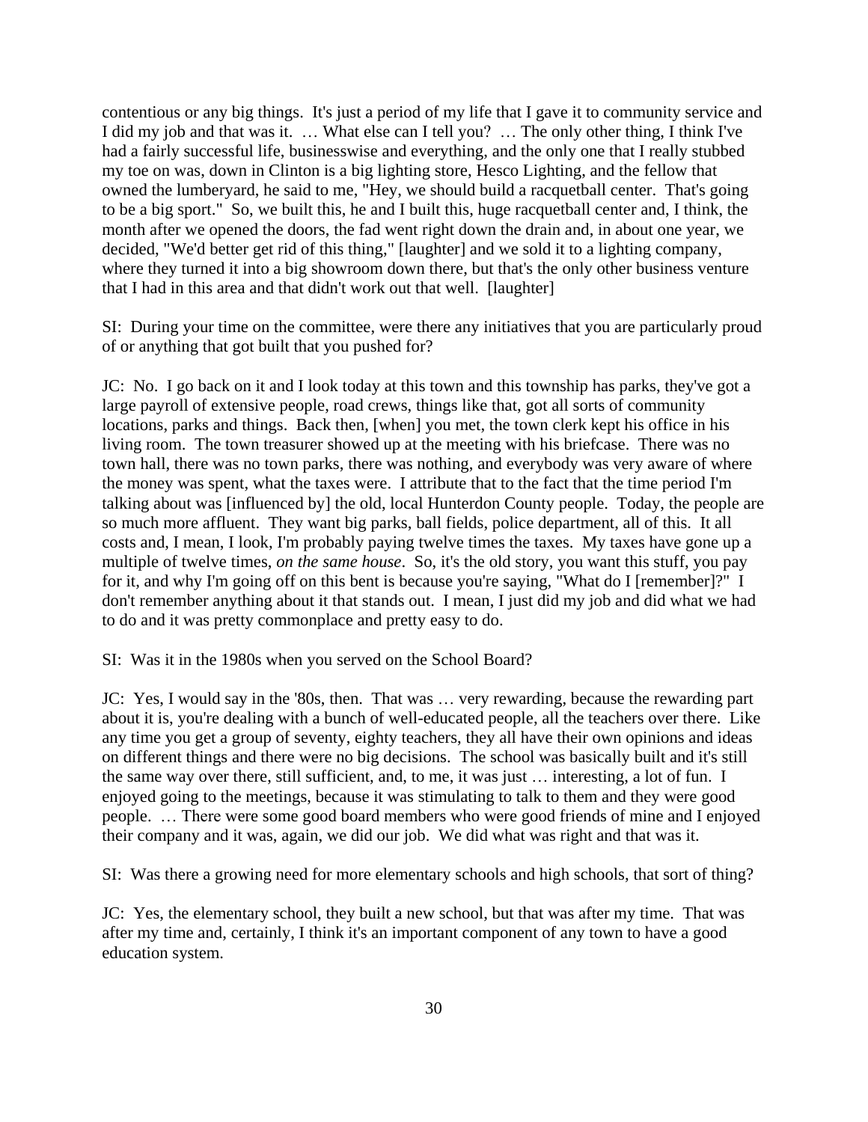contentious or any big things. It's just a period of my life that I gave it to community service and I did my job and that was it. … What else can I tell you? … The only other thing, I think I've had a fairly successful life, businesswise and everything, and the only one that I really stubbed my toe on was, down in Clinton is a big lighting store, Hesco Lighting, and the fellow that owned the lumberyard, he said to me, "Hey, we should build a racquetball center. That's going to be a big sport." So, we built this, he and I built this, huge racquetball center and, I think, the month after we opened the doors, the fad went right down the drain and, in about one year, we decided, "We'd better get rid of this thing," [laughter] and we sold it to a lighting company, where they turned it into a big showroom down there, but that's the only other business venture that I had in this area and that didn't work out that well. [laughter]

SI: During your time on the committee, were there any initiatives that you are particularly proud of or anything that got built that you pushed for?

JC: No. I go back on it and I look today at this town and this township has parks, they've got a large payroll of extensive people, road crews, things like that, got all sorts of community locations, parks and things. Back then, [when] you met, the town clerk kept his office in his living room. The town treasurer showed up at the meeting with his briefcase. There was no town hall, there was no town parks, there was nothing, and everybody was very aware of where the money was spent, what the taxes were. I attribute that to the fact that the time period I'm talking about was [influenced by] the old, local Hunterdon County people. Today, the people are so much more affluent. They want big parks, ball fields, police department, all of this. It all costs and, I mean, I look, I'm probably paying twelve times the taxes. My taxes have gone up a multiple of twelve times, *on the same house*. So, it's the old story, you want this stuff, you pay for it, and why I'm going off on this bent is because you're saying, "What do I [remember]?" I don't remember anything about it that stands out. I mean, I just did my job and did what we had to do and it was pretty commonplace and pretty easy to do.

SI: Was it in the 1980s when you served on the School Board?

JC: Yes, I would say in the '80s, then. That was … very rewarding, because the rewarding part about it is, you're dealing with a bunch of well-educated people, all the teachers over there. Like any time you get a group of seventy, eighty teachers, they all have their own opinions and ideas on different things and there were no big decisions. The school was basically built and it's still the same way over there, still sufficient, and, to me, it was just … interesting, a lot of fun. I enjoyed going to the meetings, because it was stimulating to talk to them and they were good people. … There were some good board members who were good friends of mine and I enjoyed their company and it was, again, we did our job. We did what was right and that was it.

SI: Was there a growing need for more elementary schools and high schools, that sort of thing?

JC: Yes, the elementary school, they built a new school, but that was after my time. That was after my time and, certainly, I think it's an important component of any town to have a good education system.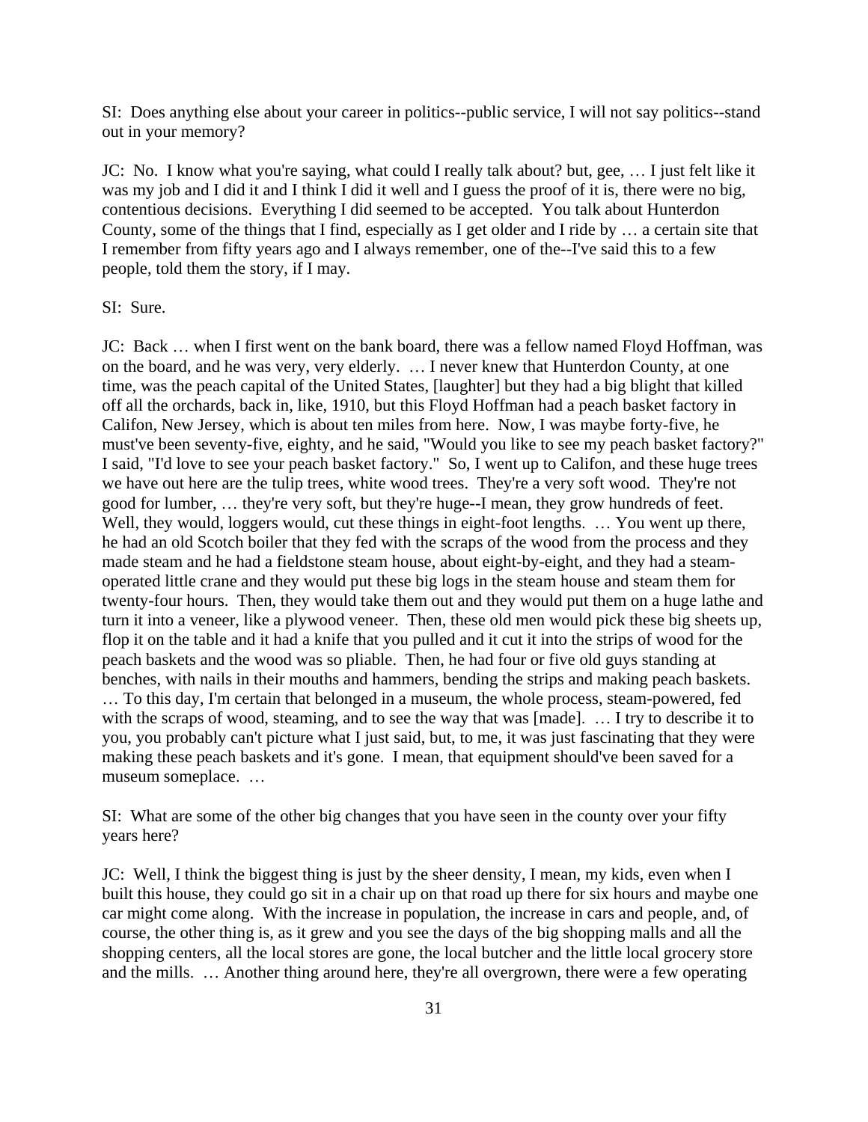SI: Does anything else about your career in politics--public service, I will not say politics--stand out in your memory?

JC: No. I know what you're saying, what could I really talk about? but, gee, ... I just felt like it was my job and I did it and I think I did it well and I guess the proof of it is, there were no big, contentious decisions. Everything I did seemed to be accepted. You talk about Hunterdon County, some of the things that I find, especially as I get older and I ride by … a certain site that I remember from fifty years ago and I always remember, one of the--I've said this to a few people, told them the story, if I may.

### SI: Sure.

JC: Back … when I first went on the bank board, there was a fellow named Floyd Hoffman, was on the board, and he was very, very elderly. … I never knew that Hunterdon County, at one time, was the peach capital of the United States, [laughter] but they had a big blight that killed off all the orchards, back in, like, 1910, but this Floyd Hoffman had a peach basket factory in Califon, New Jersey, which is about ten miles from here. Now, I was maybe forty-five, he must've been seventy-five, eighty, and he said, "Would you like to see my peach basket factory?" I said, "I'd love to see your peach basket factory." So, I went up to Califon, and these huge trees we have out here are the tulip trees, white wood trees. They're a very soft wood. They're not good for lumber, … they're very soft, but they're huge--I mean, they grow hundreds of feet. Well, they would, loggers would, cut these things in eight-foot lengths. ... You went up there, he had an old Scotch boiler that they fed with the scraps of the wood from the process and they made steam and he had a fieldstone steam house, about eight-by-eight, and they had a steamoperated little crane and they would put these big logs in the steam house and steam them for twenty-four hours. Then, they would take them out and they would put them on a huge lathe and turn it into a veneer, like a plywood veneer. Then, these old men would pick these big sheets up, flop it on the table and it had a knife that you pulled and it cut it into the strips of wood for the peach baskets and the wood was so pliable. Then, he had four or five old guys standing at benches, with nails in their mouths and hammers, bending the strips and making peach baskets. … To this day, I'm certain that belonged in a museum, the whole process, steam-powered, fed with the scraps of wood, steaming, and to see the way that was [made]. ... I try to describe it to you, you probably can't picture what I just said, but, to me, it was just fascinating that they were making these peach baskets and it's gone. I mean, that equipment should've been saved for a museum someplace. …

SI: What are some of the other big changes that you have seen in the county over your fifty years here?

JC: Well, I think the biggest thing is just by the sheer density, I mean, my kids, even when I built this house, they could go sit in a chair up on that road up there for six hours and maybe one car might come along. With the increase in population, the increase in cars and people, and, of course, the other thing is, as it grew and you see the days of the big shopping malls and all the shopping centers, all the local stores are gone, the local butcher and the little local grocery store and the mills. … Another thing around here, they're all overgrown, there were a few operating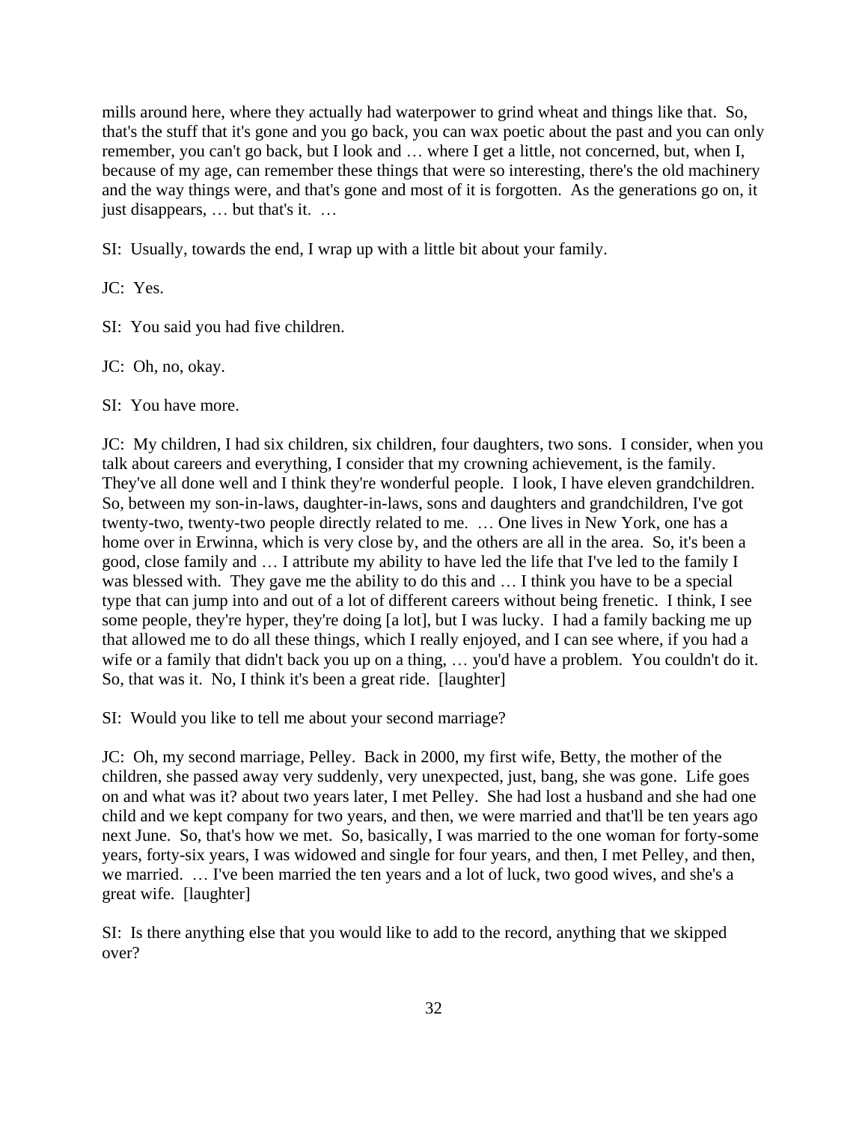mills around here, where they actually had waterpower to grind wheat and things like that. So, that's the stuff that it's gone and you go back, you can wax poetic about the past and you can only remember, you can't go back, but I look and … where I get a little, not concerned, but, when I, because of my age, can remember these things that were so interesting, there's the old machinery and the way things were, and that's gone and most of it is forgotten. As the generations go on, it just disappears, … but that's it. …

SI: Usually, towards the end, I wrap up with a little bit about your family.

JC: Yes.

SI: You said you had five children.

JC: Oh, no, okay.

SI: You have more.

JC: My children, I had six children, six children, four daughters, two sons. I consider, when you talk about careers and everything, I consider that my crowning achievement, is the family. They've all done well and I think they're wonderful people. I look, I have eleven grandchildren. So, between my son-in-laws, daughter-in-laws, sons and daughters and grandchildren, I've got twenty-two, twenty-two people directly related to me. … One lives in New York, one has a home over in Erwinna, which is very close by, and the others are all in the area. So, it's been a good, close family and … I attribute my ability to have led the life that I've led to the family I was blessed with. They gave me the ability to do this and … I think you have to be a special type that can jump into and out of a lot of different careers without being frenetic. I think, I see some people, they're hyper, they're doing [a lot], but I was lucky. I had a family backing me up that allowed me to do all these things, which I really enjoyed, and I can see where, if you had a wife or a family that didn't back you up on a thing, … you'd have a problem. You couldn't do it. So, that was it. No, I think it's been a great ride. [laughter]

SI: Would you like to tell me about your second marriage?

JC: Oh, my second marriage, Pelley. Back in 2000, my first wife, Betty, the mother of the children, she passed away very suddenly, very unexpected, just, bang, she was gone. Life goes on and what was it? about two years later, I met Pelley. She had lost a husband and she had one child and we kept company for two years, and then, we were married and that'll be ten years ago next June. So, that's how we met. So, basically, I was married to the one woman for forty-some years, forty-six years, I was widowed and single for four years, and then, I met Pelley, and then, we married. … I've been married the ten years and a lot of luck, two good wives, and she's a great wife. [laughter]

SI: Is there anything else that you would like to add to the record, anything that we skipped over?